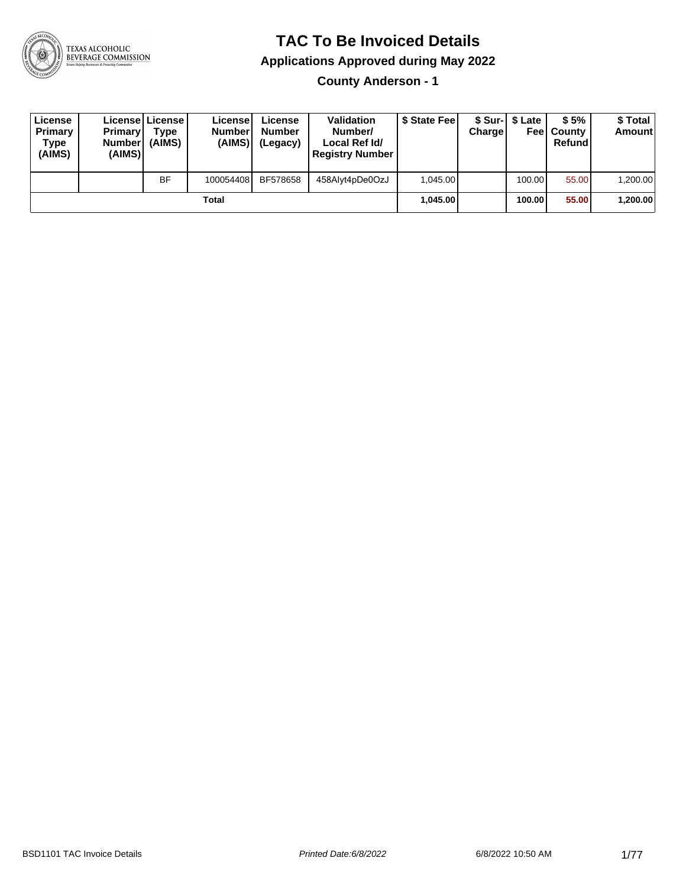

#### **TAC To Be Invoiced Details**

**Applications Approved during May 2022**

**County Anderson - 1**

| License<br>Primary<br>Type<br>(AIMS) | <b>Primary</b><br><b>Number</b><br>(AIMS) | Licensel License I<br><b>Type</b><br>(AIMS) | License<br><b>Number</b><br>(AIMS) | License<br><b>Number</b><br>(Legacy) | <b>Validation</b><br>Number/<br>Local Ref Id/<br><b>Registry Number</b> | \$ State Fee | Charge | \$ Sur-1 \$ Late | \$5%<br><b>Feel County</b><br>Refund | \$ Total<br><b>Amount</b> |
|--------------------------------------|-------------------------------------------|---------------------------------------------|------------------------------------|--------------------------------------|-------------------------------------------------------------------------|--------------|--------|------------------|--------------------------------------|---------------------------|
|                                      |                                           | BF                                          | 100054408                          | BF578658                             | 458Alyt4pDe0OzJ                                                         | 1.045.00     |        | 100.001          | 55.00                                | 1,200.00                  |
|                                      |                                           |                                             | Total                              |                                      |                                                                         | 1.045.00     |        | 100.00 l         | 55.00                                | 1,200.00                  |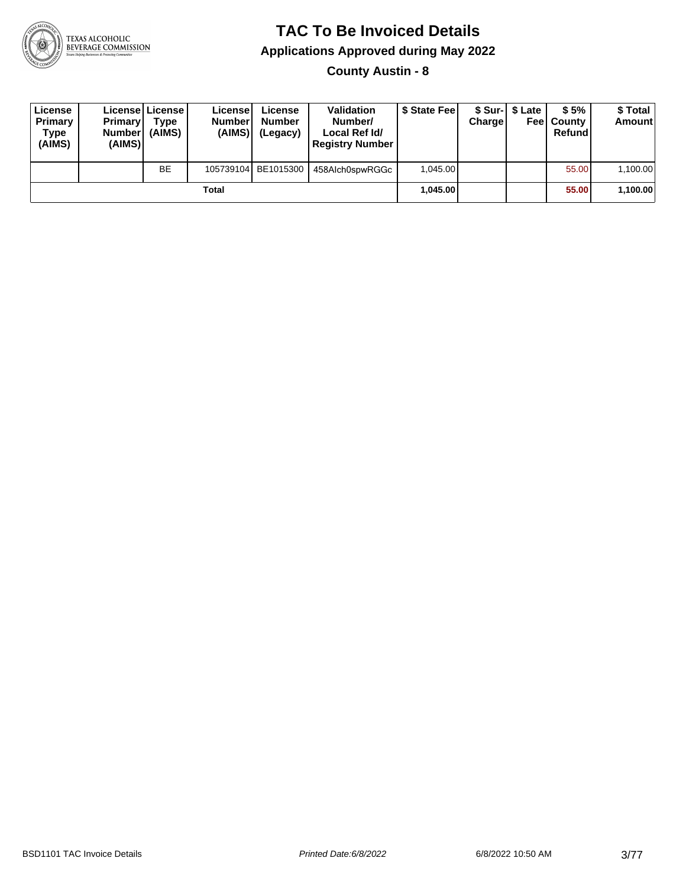

**County Austin - 8**

| License<br>Primary<br>Type<br>(AIMS) | <b>Primary</b><br><b>Number</b><br>(AIMS) | License   License  <br>Type<br>(AIMS) | License<br><b>Number</b><br>(AIMS) | License<br><b>Number</b><br>(Legacy) | <b>Validation</b><br>Number/<br>Local Ref Id/<br><b>Registry Number</b> | \$ State Feel | Charge | \$ Sur-1 \$ Late | \$5%<br><b>Feel County</b><br>Refund | \$ Total<br><b>Amount</b> |
|--------------------------------------|-------------------------------------------|---------------------------------------|------------------------------------|--------------------------------------|-------------------------------------------------------------------------|---------------|--------|------------------|--------------------------------------|---------------------------|
|                                      |                                           | <b>BE</b>                             |                                    | 105739104 BE1015300                  | 458Alch0spwRGGc                                                         | 1.045.00      |        |                  | 55.00                                | 1,100.00                  |
|                                      |                                           |                                       | Total                              |                                      |                                                                         | 1.045.00      |        |                  | 55.00                                | 1,100.00                  |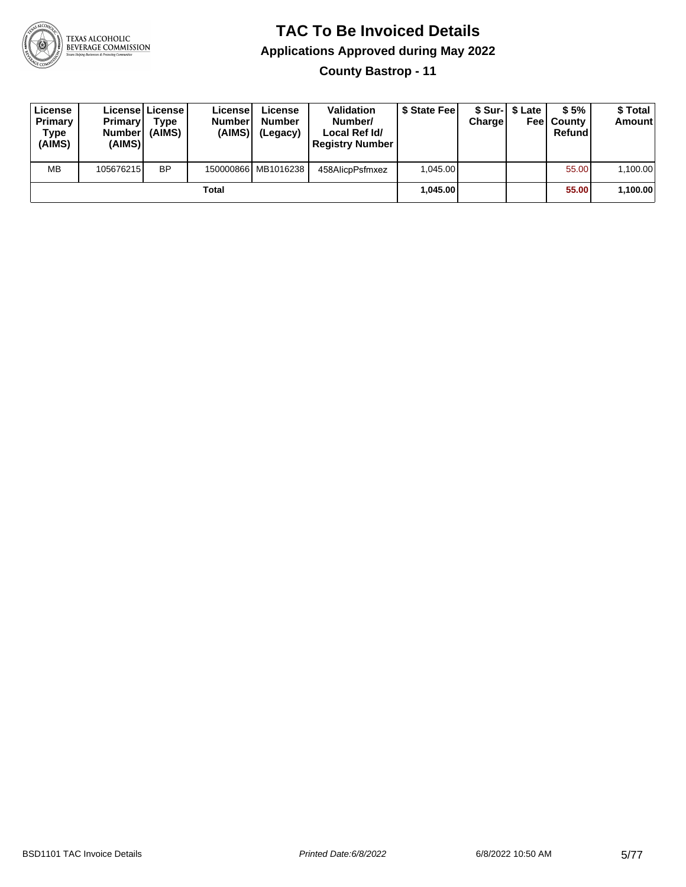

**County Bastrop - 11**

| License<br>Primary<br>Type<br>(AIMS) | <b>Primary</b><br><b>Number</b><br>(AIMS) | <b>Licensel License I</b><br>Type<br>(AIMS) | Licensel<br><b>Number</b><br>(AIMS) | License<br><b>Number</b><br>(Legacy) | <b>Validation</b><br>Number/<br>Local Ref Id/<br><b>Registry Number</b> | \$ State Feel | Charge | \$ Sur-1 \$ Late | \$5%<br><b>Feel County</b><br>Refund | \$ Total<br><b>Amount</b> |
|--------------------------------------|-------------------------------------------|---------------------------------------------|-------------------------------------|--------------------------------------|-------------------------------------------------------------------------|---------------|--------|------------------|--------------------------------------|---------------------------|
| <b>MB</b>                            | 105676215                                 | <b>BP</b>                                   |                                     | 150000866 MB1016238                  | 458AlicpPsfmxez                                                         | 1.045.00      |        |                  | 55.00                                | 1,100.00                  |
|                                      |                                           |                                             | Total                               |                                      |                                                                         | 1.045.00      |        |                  | 55.00                                | 1,100.00                  |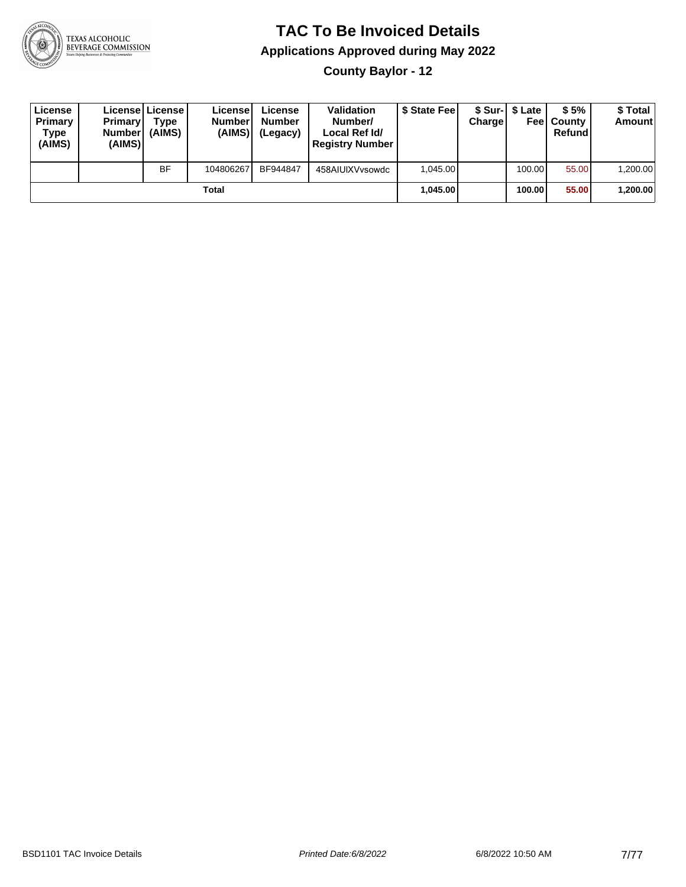

**County Baylor - 12**

| License<br>Primary<br>Type<br>(AIMS) | <b>Primary</b><br><b>Numberl</b><br>(AIMS) | License License<br>Type<br>(AIMS) | License<br><b>Number</b><br>(AIMS) | License<br><b>Number</b><br>(Legacy) | <b>Validation</b><br>Number/<br>Local Ref Id/<br><b>Registry Number</b> | \$ State Feel | Charge | \$ Sur-1 \$ Late | \$5%<br><b>Feel County</b><br>Refund | \$ Total<br><b>Amount</b> |
|--------------------------------------|--------------------------------------------|-----------------------------------|------------------------------------|--------------------------------------|-------------------------------------------------------------------------|---------------|--------|------------------|--------------------------------------|---------------------------|
|                                      |                                            | <b>BF</b>                         | 104806267                          | BF944847                             | 458AIUIXVvsowdc                                                         | 1.045.00      |        | 100.00           | 55.00                                | 1,200.00                  |
|                                      |                                            |                                   | <b>Total</b>                       |                                      |                                                                         | 1.045.00      |        | 100.00           | 55.00                                | ∣200.00∖1.                |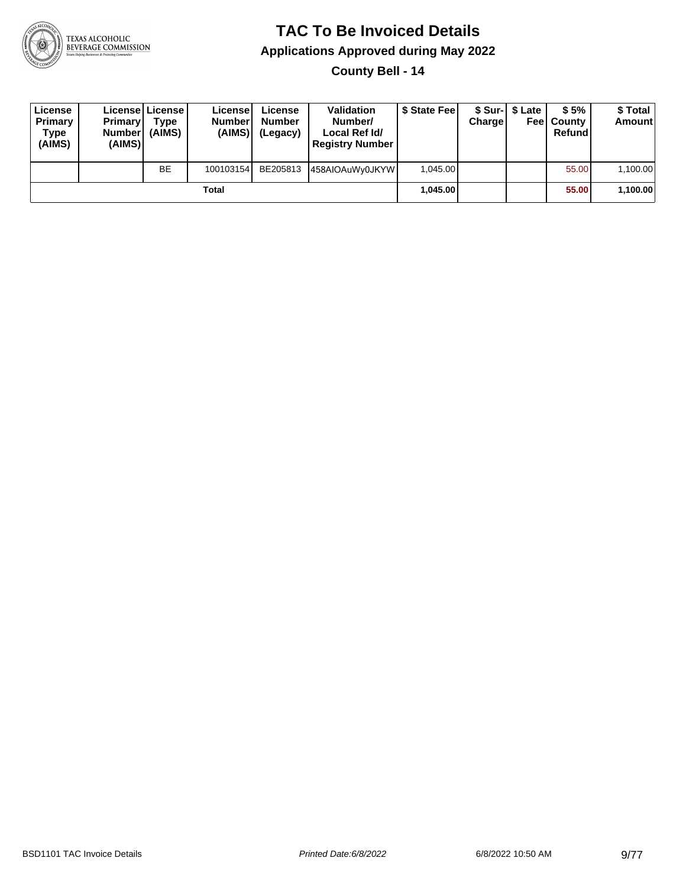

**County Bell - 14**

| License<br>Primary<br>Type<br>(AIMS) | <b>Primary</b><br><b>Number</b><br>(AIMS) | License   License  <br>Type<br>(AIMS) | License<br><b>Number</b><br>(AIMS) | License<br><b>Number</b><br>(Legacy) | <b>Validation</b><br>Number/<br>Local Ref Id/<br><b>Registry Number</b> | \$ State Feel | Charge | \$ Sur-1 \$ Late | \$5%<br><b>Feel County</b><br>Refund | \$ Total<br>Amount |
|--------------------------------------|-------------------------------------------|---------------------------------------|------------------------------------|--------------------------------------|-------------------------------------------------------------------------|---------------|--------|------------------|--------------------------------------|--------------------|
|                                      |                                           | <b>BE</b>                             | 100103154                          | BE205813                             | 458AIOAuWy0JKYW                                                         | 1.045.00      |        |                  | 55.00                                | 1,100.00           |
|                                      |                                           |                                       | Total                              |                                      |                                                                         | 1.045.00      |        |                  | 55.00                                | 1,100.00           |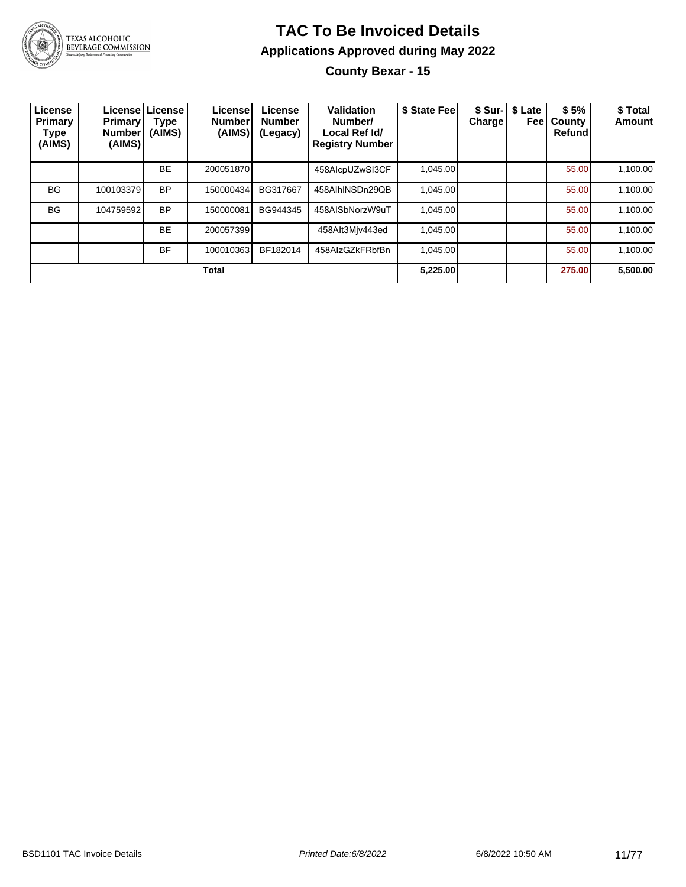

TEXAS ALCOHOLIC<br>BEVERAGE COMMISSION

# **TAC To Be Invoiced Details Applications Approved during May 2022**

**County Bexar - 15**

| License<br>Primary<br>Type<br>(AIMS) | Primary<br><b>Number</b><br>(AIMS) | Licensel License<br>Type<br>(AIMS) | License<br><b>Number</b><br>(AIMS) | License<br><b>Number</b><br>(Legacy) | Validation<br>Number/<br>Local Ref Id/<br><b>Registry Number</b> | \$ State Fee | Chargel | \$ Sur-   \$ Late<br>Feel | \$5%<br>County<br><b>Refund</b> | \$ Total<br><b>Amount</b> |
|--------------------------------------|------------------------------------|------------------------------------|------------------------------------|--------------------------------------|------------------------------------------------------------------|--------------|---------|---------------------------|---------------------------------|---------------------------|
|                                      |                                    | <b>BE</b>                          | 200051870                          |                                      | 458AlcpUZwSI3CF                                                  | 1.045.00     |         |                           | 55.00                           | 1,100.00                  |
| <b>BG</b>                            | 100103379                          | <b>BP</b>                          | 150000434                          | BG317667                             | 458AlhINSDn29QB                                                  | 1,045.00     |         |                           | 55.00                           | 1,100.00                  |
| <b>BG</b>                            | 104759592                          | <b>BP</b>                          | 150000081                          | BG944345                             | 458AISbNorzW9uT                                                  | 1.045.00     |         |                           | 55.00                           | 1,100.00                  |
|                                      |                                    | <b>BE</b>                          | 200057399                          |                                      | 458Alt3Mjv443ed                                                  | 1,045.00     |         |                           | 55.00                           | 1,100.00                  |
|                                      |                                    | <b>BF</b>                          | 100010363                          | BF182014                             | 458AlzGZkFRbfBn                                                  | 1,045.00     |         |                           | 55.00                           | 1,100.00                  |
|                                      |                                    |                                    | <b>Total</b>                       |                                      |                                                                  | 5,225.00     |         |                           | 275.00                          | 5,500.00                  |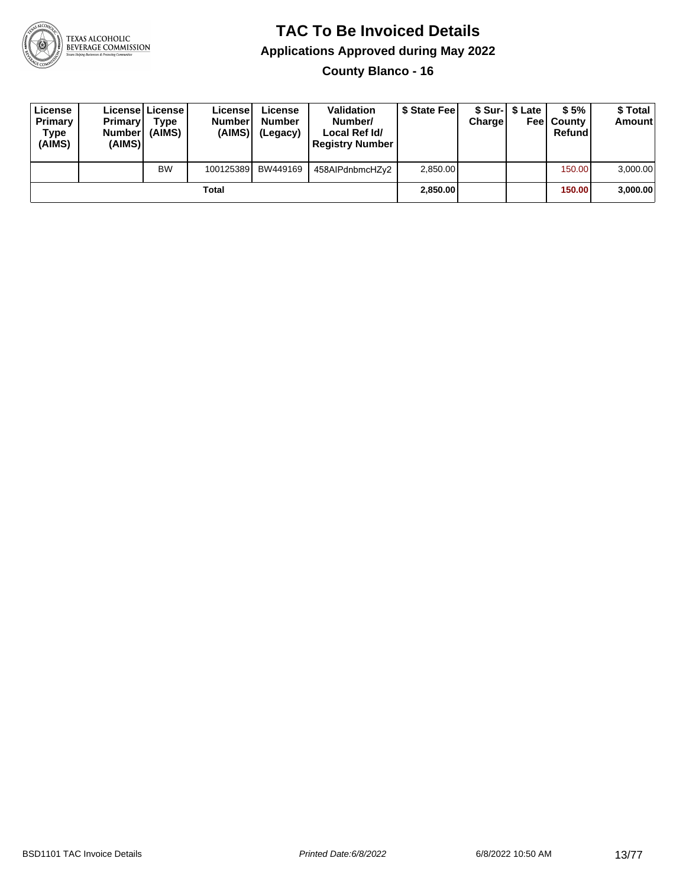

**County Blanco - 16**

| License<br>Primary<br>Type<br>(AIMS) | <b>Primary</b><br><b>Number</b><br>(AIMS) | Licensel License I<br>Type<br>(AIMS) | License<br><b>Number</b><br>(AIMS) | License<br><b>Number</b><br>(Legacy) | <b>Validation</b><br>Number/<br>Local Ref Id/<br><b>Registry Number</b> | \$ State Feel | Charge | \$ Sur-1 \$ Late | \$5%<br><b>Feel County</b><br>Refund | \$ Total<br>Amount |
|--------------------------------------|-------------------------------------------|--------------------------------------|------------------------------------|--------------------------------------|-------------------------------------------------------------------------|---------------|--------|------------------|--------------------------------------|--------------------|
|                                      |                                           | <b>BW</b>                            | 100125389                          | BW449169                             | 458AIPdnbmcHZy2                                                         | 2,850.00      |        |                  | 150.00                               | 3,000.00           |
|                                      |                                           |                                      | Total                              |                                      |                                                                         | 2,850.00      |        |                  | 150.00                               | 3,000.00           |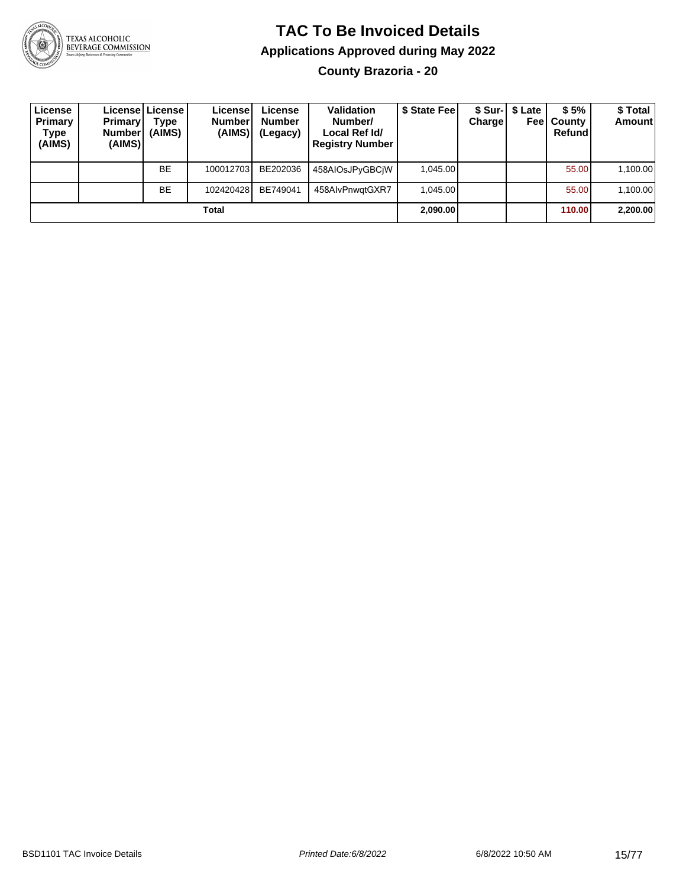

**County Brazoria - 20**

| License<br>Primary<br>Type<br>(AIMS) | <b>Primary</b><br><b>Number</b><br>(AIMS) | Licensel License I<br>Type<br>(AIMS) | License<br><b>Number</b><br>(AIMS) | License<br><b>Number</b><br>(Legacy) | <b>Validation</b><br>Number/<br>Local Ref Id/<br><b>Registry Number</b> | \$ State Feel | Charge | \$ Sur-1 \$ Late | \$5%<br><b>Feel County</b><br>Refund | \$ Total<br><b>Amount</b> |
|--------------------------------------|-------------------------------------------|--------------------------------------|------------------------------------|--------------------------------------|-------------------------------------------------------------------------|---------------|--------|------------------|--------------------------------------|---------------------------|
|                                      |                                           | <b>BE</b>                            | 100012703                          | BE202036                             | 458AIOsJPyGBCiW                                                         | 1.045.00      |        |                  | 55.00                                | 1,100.00                  |
|                                      |                                           | <b>BE</b>                            | 102420428                          | BE749041                             | 458AlvPnwatGXR7                                                         | 1.045.00      |        |                  | 55.00                                | 1,100.00                  |
|                                      |                                           |                                      | Total                              |                                      |                                                                         | 2,090.00      |        |                  | 110.00                               | 2,200.00                  |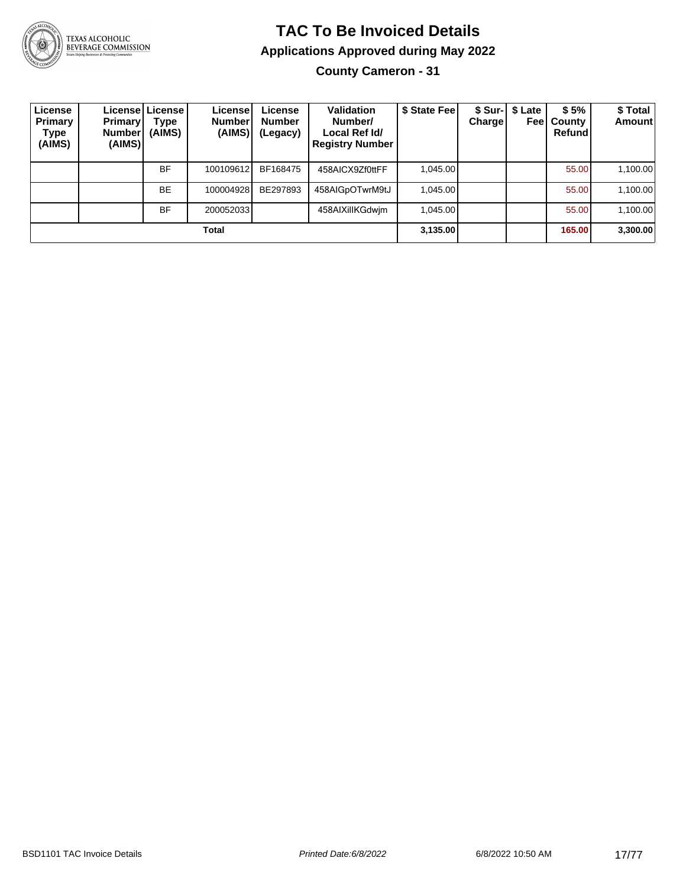

# TEXAS ALCOHOLIC<br>BEVERAGE COMMISSION

# **TAC To Be Invoiced Details Applications Approved during May 2022**

**County Cameron - 31**

| License<br><b>Primary</b><br>Type<br>(AIMS) | <b>Primary</b><br><b>Number</b><br>(AIMS) | Licensel License I<br>Type<br>(AIMS) | License<br><b>Number</b><br>(AIMS) | License<br><b>Number</b><br>(Legacy) | <b>Validation</b><br>Number/<br>Local Ref Id/<br><b>Registry Number</b> | \$ State Fee | <b>Charge</b> | \$ Sur-1 \$ Late<br>Feel | \$5%<br>County<br>Refund | \$Total<br><b>Amount</b> |
|---------------------------------------------|-------------------------------------------|--------------------------------------|------------------------------------|--------------------------------------|-------------------------------------------------------------------------|--------------|---------------|--------------------------|--------------------------|--------------------------|
|                                             |                                           | <b>BF</b>                            | 100109612                          | BF168475                             | 458AICX9Zf0ttFF                                                         | 1.045.00     |               |                          | 55.00                    | 1,100.00                 |
|                                             |                                           | <b>BE</b>                            | 100004928                          | BE297893                             | 458AIGpOTwrM9tJ                                                         | 1.045.00     |               |                          | 55.00                    | 1,100.00                 |
|                                             |                                           | <b>BF</b>                            | 200052033                          |                                      | 458AIXillKGdwjm                                                         | 1,045.00     |               |                          | 55.00                    | 1,100.00                 |
|                                             |                                           |                                      | Total                              |                                      |                                                                         | 3,135.00     |               |                          | 165.00                   | 3,300.00                 |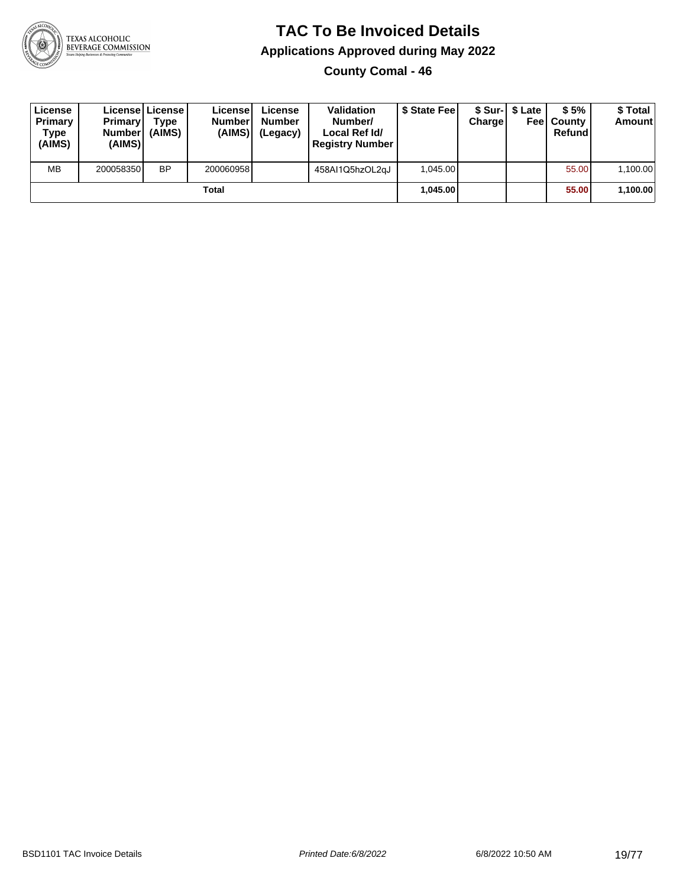

**County Comal - 46**

| License<br>Primary<br>Type<br>(AIMS) | <b>Primary</b><br><b>Number</b><br>(AIMS) | <b>Licensel License I</b><br>Type<br>(AIMS) | Licensel<br><b>Number</b><br>(AIMS) | License<br><b>Number</b><br>(Legacy) | <b>Validation</b><br>Number/<br>Local Ref Id/<br><b>Registry Number</b> | \$ State Feel | Charge | \$ Sur-1 \$ Late | \$5%<br><b>Feel County</b><br>Refund | \$ Total<br><b>Amount</b> |
|--------------------------------------|-------------------------------------------|---------------------------------------------|-------------------------------------|--------------------------------------|-------------------------------------------------------------------------|---------------|--------|------------------|--------------------------------------|---------------------------|
| <b>MB</b>                            | 200058350                                 | <b>BP</b>                                   | 200060958                           |                                      | 458AI1Q5hzOL2qJ                                                         | 1.045.00      |        |                  | 55.00                                | 1,100.00                  |
|                                      |                                           |                                             | Total                               |                                      |                                                                         | 1.045.00      |        |                  | 55.00                                | 1,100.00                  |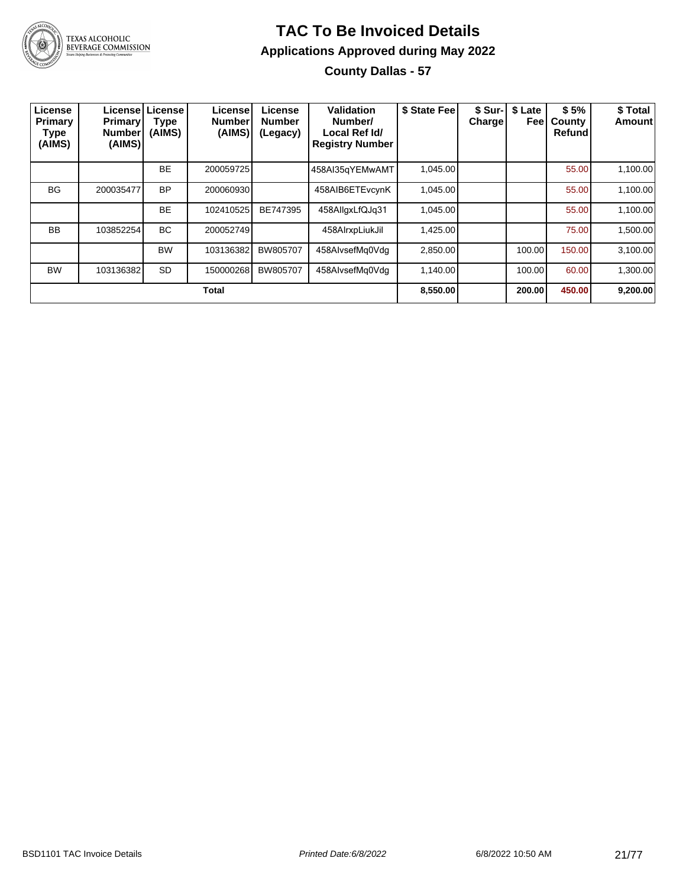

#### **TAC To Be Invoiced Details Applications Approved during May 2022 County Dallas - 57**

| License<br>Primary<br>Type<br>(AIMS) | <b>Primary</b><br><b>Number</b><br>(AIMS) | License License<br><b>Type</b><br>(AIMS) | License<br><b>Number</b><br>(AIMS) | License<br><b>Number</b><br>(Legacy) | Validation<br>Number/<br>Local Ref Id/<br><b>Registry Number</b> | \$ State Fee | \$ Sur-<br><b>Charge</b> | \$ Late<br>Feel | \$5%<br>County<br>Refund | \$ Total<br>Amount |
|--------------------------------------|-------------------------------------------|------------------------------------------|------------------------------------|--------------------------------------|------------------------------------------------------------------|--------------|--------------------------|-----------------|--------------------------|--------------------|
|                                      |                                           | <b>BE</b>                                | 200059725                          |                                      | 458AI35gYEMwAMT                                                  | 1.045.00     |                          |                 | 55.00                    | 1,100.00           |
| <b>BG</b>                            | 200035477                                 | <b>BP</b>                                | 200060930                          |                                      | 458AIB6ETEvcynK                                                  | 1,045.00     |                          |                 | 55.00                    | 1,100.00           |
|                                      |                                           | <b>BE</b>                                | 102410525                          | BE747395                             | 458AllgxLfQJg31                                                  | 1.045.00     |                          |                 | 55.00                    | 1,100.00           |
| <b>BB</b>                            | 103852254                                 | <b>BC</b>                                | 200052749                          |                                      | 458AIrxpLiukJil                                                  | 1,425.00     |                          |                 | 75.00                    | 1,500.00           |
|                                      |                                           | <b>BW</b>                                | 103136382                          | BW805707                             | 458AlvsefMq0Vdq                                                  | 2,850.00     |                          | 100.00          | 150.00                   | 3,100.00           |
| <b>BW</b>                            | 103136382                                 | SD                                       | 150000268                          | BW805707                             | 458AlvsefMq0Vdq                                                  | 1,140.00     |                          | 100.00          | 60.00                    | 1,300.00           |
|                                      |                                           |                                          | <b>Total</b>                       |                                      |                                                                  | 8,550.00     |                          | 200.00          | 450.00                   | 9,200.00           |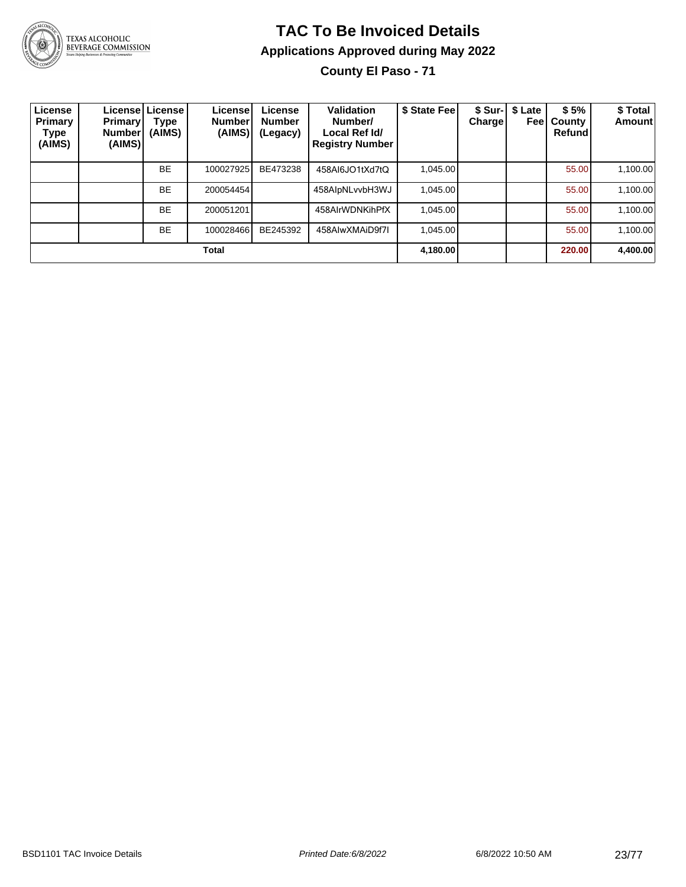

TEXAS ALCOHOLIC<br>BEVERAGE COMMISSION

# **TAC To Be Invoiced Details Applications Approved during May 2022**

**County El Paso - 71**

| License<br><b>Primary</b><br>Type<br>(AIMS) | <b>Primary</b><br><b>Number</b><br>(AIMS) | Licensel License I<br>Type<br>(AIMS) | License<br><b>Number</b><br>(AIMS) | License<br><b>Number</b><br>(Legacy) | Validation<br>Number/<br>Local Ref Id/<br><b>Registry Number</b> | \$ State Fee | <b>Charge</b> | \$ Sur-   \$ Late<br>Feel | \$5%<br>County<br><b>Refund</b> | \$ Total<br>Amount |
|---------------------------------------------|-------------------------------------------|--------------------------------------|------------------------------------|--------------------------------------|------------------------------------------------------------------|--------------|---------------|---------------------------|---------------------------------|--------------------|
|                                             |                                           | <b>BE</b>                            | 100027925                          | BE473238                             | 458AI6JO1tXd7tQ                                                  | 1,045.00     |               |                           | 55.00                           | 1,100.00           |
|                                             |                                           | <b>BE</b>                            | 200054454                          |                                      | 458AlpNLvvbH3WJ                                                  | 1.045.00     |               |                           | 55.00                           | 1,100.00           |
|                                             |                                           | <b>BE</b>                            | 200051201                          |                                      | 458AlrWDNKihPfX                                                  | 1.045.00     |               |                           | 55.00                           | 1,100.00           |
|                                             |                                           | <b>BE</b>                            | 100028466                          | BE245392                             | 458AIwXMAiD9f7I                                                  | 1.045.00     |               |                           | 55.00                           | 1,100.00           |
|                                             |                                           |                                      | Total                              |                                      |                                                                  | 4,180.00     |               |                           | 220.00                          | 4,400.00           |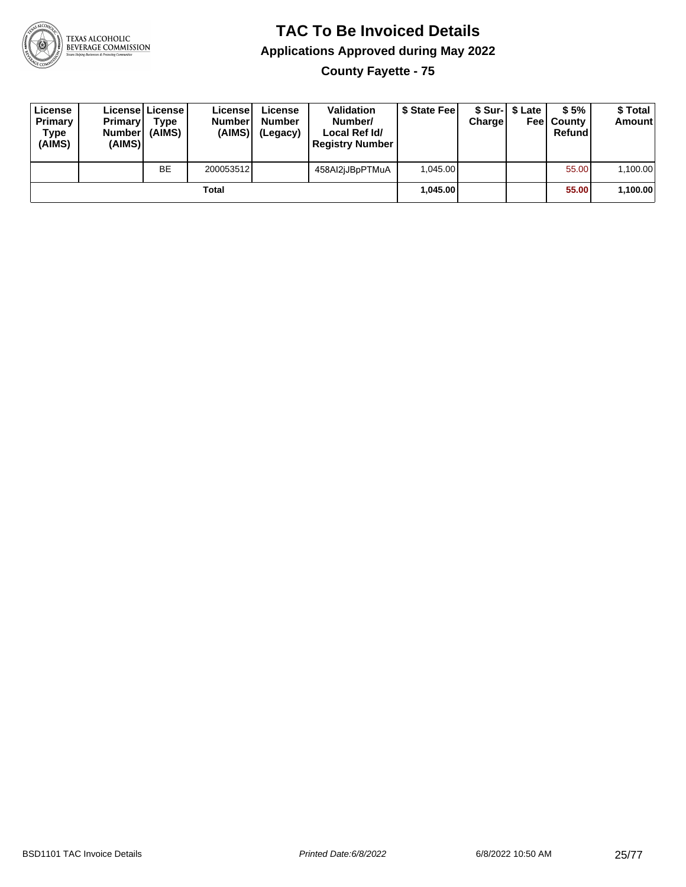

**County Fayette - 75**

| License<br>Primary<br>Type<br>(AIMS) | <b>Primary</b><br><b>Number</b><br>(AIMS) | License   License  <br>Type<br>(AIMS) | License<br><b>Number</b><br>(AIMS) | License<br><b>Number</b><br>(Legacy) | <b>Validation</b><br>Number/<br>Local Ref Id/<br><b>Registry Number</b> | \$ State Feel | Charge | \$ Sur-1 \$ Late | \$5%<br><b>Feel County</b><br>Refund | \$ Total<br><b>Amount</b> |
|--------------------------------------|-------------------------------------------|---------------------------------------|------------------------------------|--------------------------------------|-------------------------------------------------------------------------|---------------|--------|------------------|--------------------------------------|---------------------------|
|                                      |                                           | BE                                    | 200053512                          |                                      | 458Al2jJBpPTMuA                                                         | 1.045.00      |        |                  | 55.00                                | 1,100.00                  |
| Total                                |                                           |                                       |                                    |                                      |                                                                         | 1.045.00      |        |                  | 55.00                                | 1,100.00                  |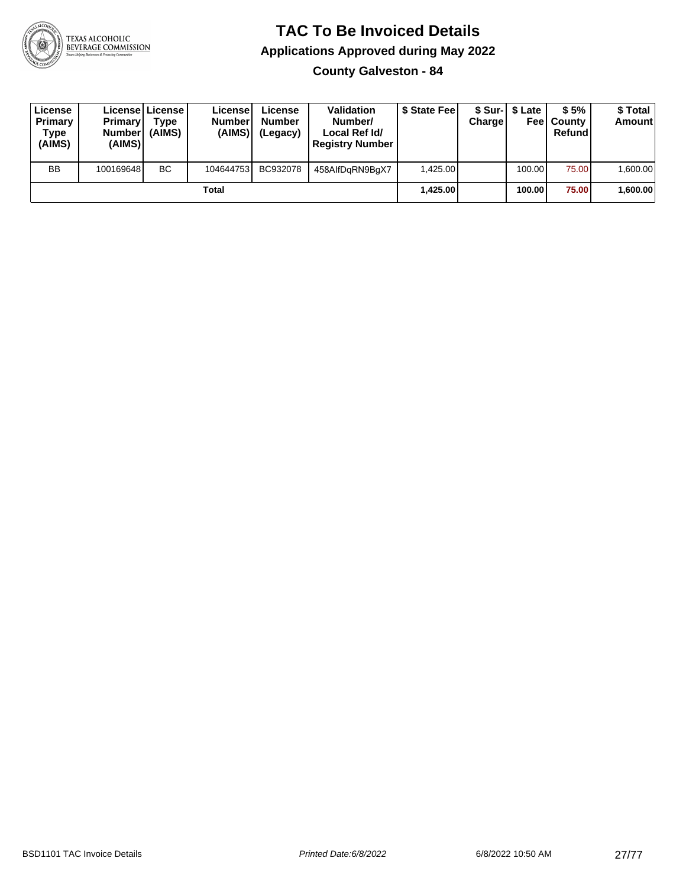

**County Galveston - 84**

| License<br><b>Primary</b><br>Type<br>(AIMS) | <b>Primary</b><br><b>Number</b><br>(AIMS) | <b>Licensel License I</b><br>Type<br>(AIMS) | Licensel<br><b>Number</b><br>(AIMS) | License<br><b>Number</b><br>(Legacy) | <b>Validation</b><br>Number/<br>Local Ref Id/<br><b>Registry Number</b> | \$ State Feel | Charge   | \$ Sur-1 \$ Late | \$5%<br><b>Feel County</b><br>Refund | \$ Total<br><b>Amount</b> |
|---------------------------------------------|-------------------------------------------|---------------------------------------------|-------------------------------------|--------------------------------------|-------------------------------------------------------------------------|---------------|----------|------------------|--------------------------------------|---------------------------|
| BB                                          | 100169648                                 | <b>BC</b>                                   | 104644753                           | BC932078                             | 458AlfDgRN9BgX7                                                         | 1.425.00      |          | 100.00           | 75.00                                | 1,600.00                  |
| Total                                       |                                           |                                             |                                     |                                      |                                                                         |               | 1.425.00 | 100.00           | 75.00                                | 1,600.00                  |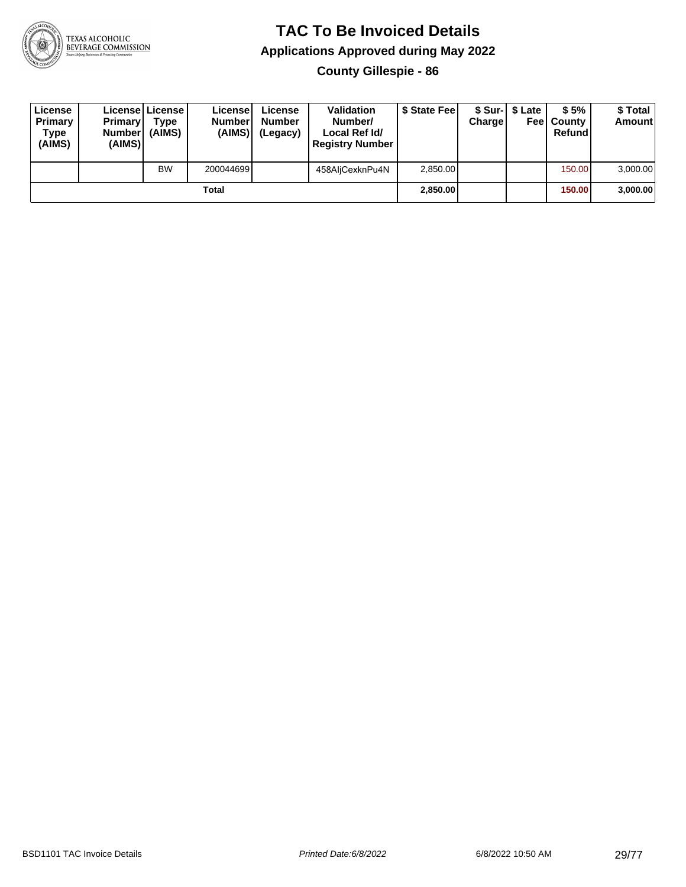

**County Gillespie - 86**

| License<br>Primary<br>Type<br>(AIMS) | <b>Primary</b><br><b>Number</b><br>(AIMS) | License   License  <br>Type<br>(AIMS) | License<br><b>Number</b><br>(AIMS) | License<br><b>Number</b><br>(Legacy) | <b>Validation</b><br>Number/<br>Local Ref Id/<br><b>Registry Number</b> | \$ State Feel | Charge | \$ Sur-1 \$ Late | \$5%<br><b>Feel County</b><br>Refund | \$ Total<br><b>Amount</b> |
|--------------------------------------|-------------------------------------------|---------------------------------------|------------------------------------|--------------------------------------|-------------------------------------------------------------------------|---------------|--------|------------------|--------------------------------------|---------------------------|
|                                      |                                           | <b>BW</b>                             | 200044699                          |                                      | 458AljCexknPu4N                                                         | 2,850.00      |        |                  | 150.00                               | 3,000.00                  |
| Total                                |                                           |                                       |                                    |                                      |                                                                         | 2,850.00      |        |                  | 150.00                               | 3,000.00                  |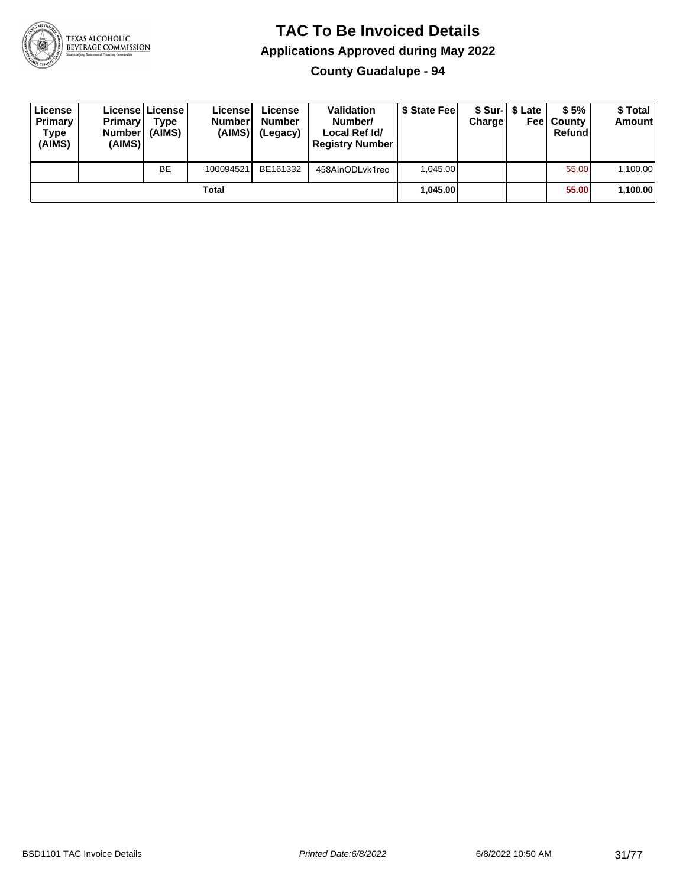

**County Guadalupe - 94**

| License<br>Primary<br>Type<br>(AIMS) | <b>Primary</b><br><b>Number</b><br>(AIMS) | <b>License   License</b><br>Type<br>(AIMS) | License<br><b>Number</b><br>(AIMS) | License<br><b>Number</b><br>(Legacy) | <b>Validation</b><br>Number/<br>Local Ref Id/<br><b>Registry Number</b> | \$ State Feel | Charge   | \$ Sur-1 \$ Late | \$5%<br><b>Feel County</b><br>Refund | \$ Total<br><b>Amount</b> |
|--------------------------------------|-------------------------------------------|--------------------------------------------|------------------------------------|--------------------------------------|-------------------------------------------------------------------------|---------------|----------|------------------|--------------------------------------|---------------------------|
|                                      |                                           | <b>BE</b>                                  | 100094521                          | BE161332                             | 458AInODLvk1reo                                                         | 1.045.00      |          |                  | 55.00                                | 1,100.00                  |
| Total                                |                                           |                                            |                                    |                                      |                                                                         |               | 1.045.00 |                  | 55.00                                | 1,100.00                  |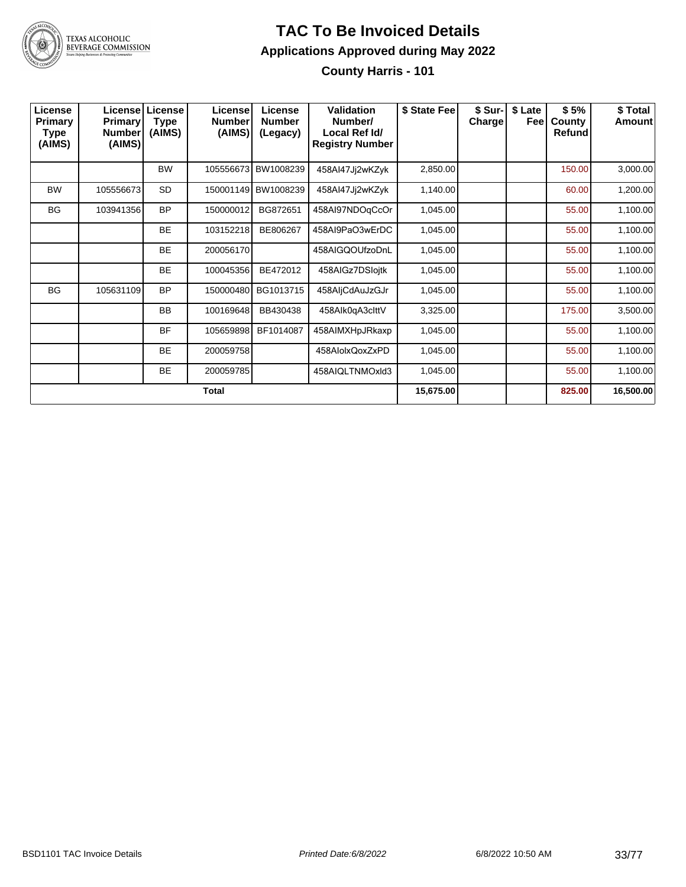

**County Harris - 101**

| License<br>Primary<br>Type<br>(AIMS) | <b>Primary</b><br>Number<br>(AIMS) | Licensel License<br><b>Type</b><br>(AIMS) | Licensel<br><b>Number</b><br>(AIMS) | License<br><b>Number</b><br>(Legacy) | <b>Validation</b><br>Number/<br>Local Ref Id/<br><b>Registry Number</b> | \$ State Fee | \$ Sur-I<br><b>Charge</b> | \$ Late<br>Feel | \$5%<br>County<br>Refund | \$ Total<br>Amount |
|--------------------------------------|------------------------------------|-------------------------------------------|-------------------------------------|--------------------------------------|-------------------------------------------------------------------------|--------------|---------------------------|-----------------|--------------------------|--------------------|
|                                      |                                    | <b>BW</b>                                 | 105556673                           | BW1008239                            | 458AI47Jj2wKZyk                                                         | 2,850.00     |                           |                 | 150.00                   | 3,000.00           |
| <b>BW</b>                            | 105556673                          | <b>SD</b>                                 | 150001149                           | BW1008239                            | 458AI47Jj2wKZyk                                                         | 1,140.00     |                           |                 | 60.00                    | 1,200.00           |
| <b>BG</b>                            | 103941356                          | <b>BP</b>                                 | 150000012                           | BG872651                             | 458AI97NDOqCcOr                                                         | 1,045.00     |                           |                 | 55.00                    | 1,100.00           |
|                                      |                                    | <b>BE</b>                                 | 103152218                           | BE806267                             | 458AI9PaO3wErDC                                                         | 1,045.00     |                           |                 | 55.00                    | 1,100.00           |
|                                      |                                    | <b>BE</b>                                 | 200056170                           |                                      | 458AIGQOUfzoDnL                                                         | 1,045.00     |                           |                 | 55.00                    | 1,100.00           |
|                                      |                                    | <b>BE</b>                                 | 100045356                           | BE472012                             | 458AIGz7DSloitk                                                         | 1,045.00     |                           |                 | 55.00                    | 1,100.00           |
| <b>BG</b>                            | 105631109                          | <b>BP</b>                                 | 150000480                           | BG1013715                            | 458AljCdAuJzGJr                                                         | 1,045.00     |                           |                 | 55.00                    | 1,100.00           |
|                                      |                                    | <b>BB</b>                                 | 100169648                           | BB430438                             | 458Alk0qA3clttV                                                         | 3,325.00     |                           |                 | 175.00                   | 3,500.00           |
|                                      |                                    | <b>BF</b>                                 | 105659898                           | BF1014087                            | 458AIMXHpJRkaxp                                                         | 1,045.00     |                           |                 | 55.00                    | 1,100.00           |
|                                      |                                    | <b>BE</b>                                 | 200059758                           |                                      | 458AlolxQoxZxPD                                                         | 1,045.00     |                           |                 | 55.00                    | 1,100.00           |
|                                      |                                    | <b>BE</b>                                 | 200059785                           |                                      | 458AIQLTNMOxId3                                                         | 1,045.00     |                           |                 | 55.00                    | 1,100.00           |
| <b>Total</b>                         |                                    |                                           |                                     |                                      |                                                                         |              |                           |                 | 825.00                   | 16,500.00          |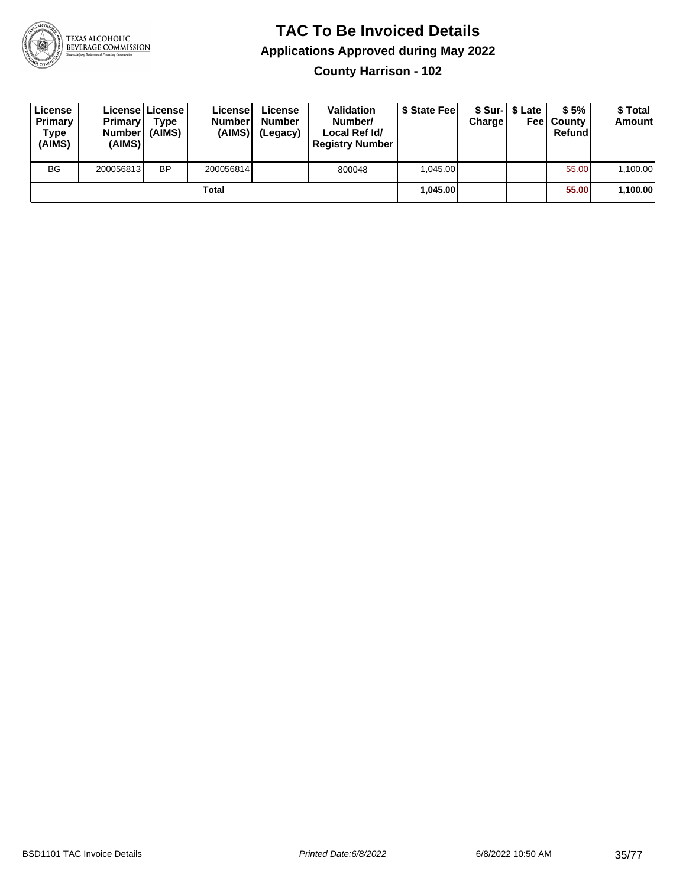

**County Harrison - 102**

| License<br>Primary<br>Type<br>(AIMS) | <b>Primary</b><br><b>Number</b><br>(AIMS) | License   License  <br>Type<br>(AIMS) | License<br><b>Number</b><br>(AIMS) | License<br><b>Number</b><br>(Legacy) | <b>Validation</b><br>Number/<br>Local Ref Id/<br><b>Registry Number</b> | \$ State Feel | Charge   | \$ Sur-1 \$ Late | \$5%<br><b>Feel County</b><br>Refund | \$ Total<br><b>Amount</b> |
|--------------------------------------|-------------------------------------------|---------------------------------------|------------------------------------|--------------------------------------|-------------------------------------------------------------------------|---------------|----------|------------------|--------------------------------------|---------------------------|
| <b>BG</b>                            | 200056813                                 | <b>BP</b>                             | 200056814                          |                                      | 800048                                                                  | 1.045.00      |          |                  | 55.00                                | 1,100.00                  |
| Total                                |                                           |                                       |                                    |                                      |                                                                         |               | 1.045.00 |                  | 55.00                                | 1,100.00                  |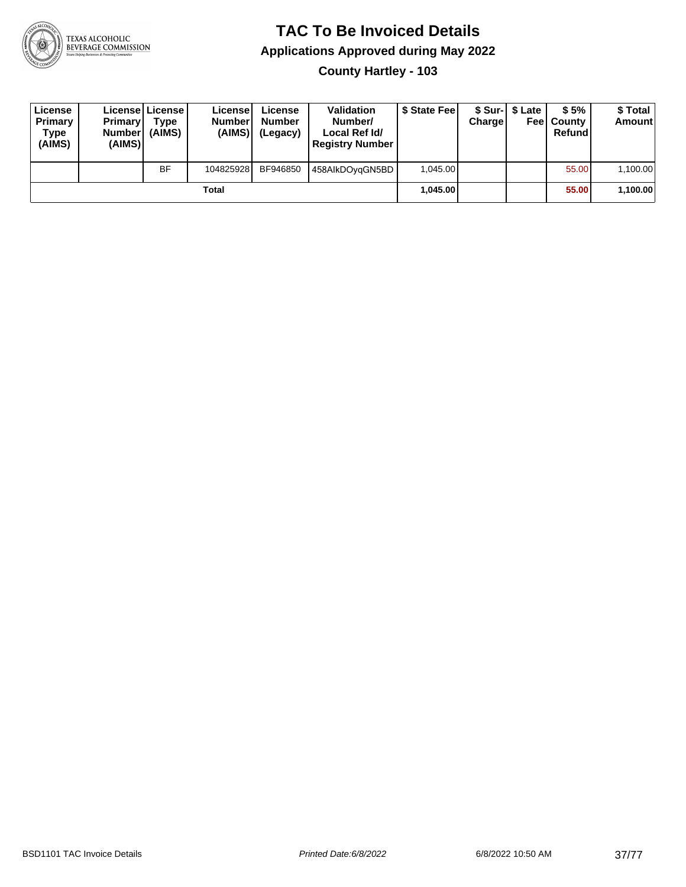

#### **TAC To Be Invoiced Details Applications Approved during May 2022 County Hartley - 103**

**License Primary Type (AIMS) License License Primary Number (AIMS) Type (AIMS) License Number (AIMS) License Number (Legacy) Validation Number/ Local Ref Id/ Registry Number \$ State Fee \$ Sur-Charge \$ Late Fee County \$ 5% Refund \$ Total Amount** BF | 104825928 BF946850 | 458AIkDOyqGN5BD | 1,045.00 | | | | 55.00 | 1,100.00 **Total 1,045.00 55.00 1,100.00**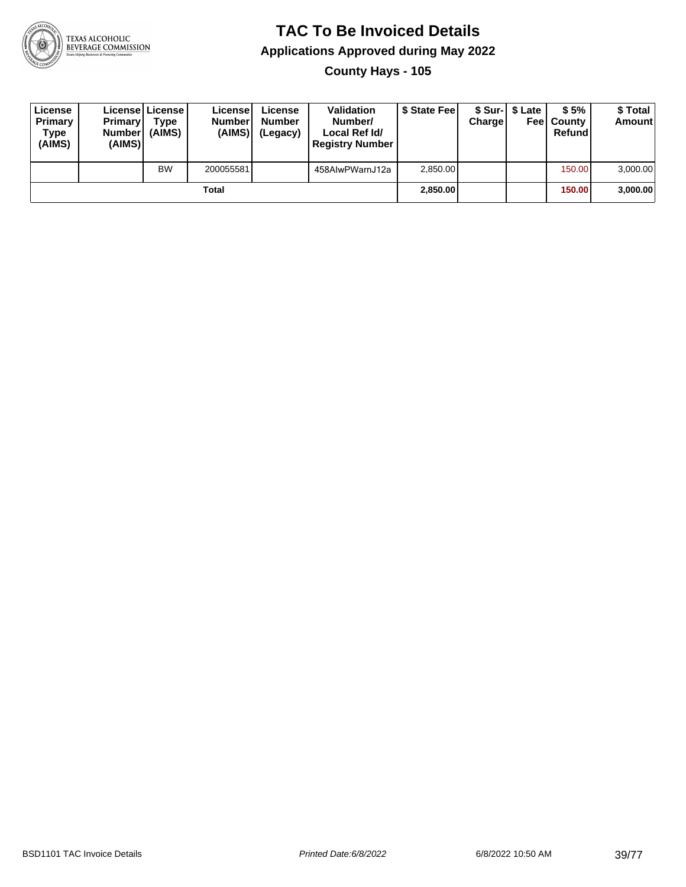

**County Hays - 105**

| License<br>Primary<br>Type<br>(AIMS) | Primary<br><b>Number</b><br>(AIMS) | <b>License I License</b><br>Type<br>(AIMS) | License<br><b>Number</b><br>(AIMS) | License<br><b>Number</b><br>(Legacy) | <b>Validation</b><br>Number/<br>Local Ref Id/<br><b>Registry Number</b> | \$ State Feel | Charge | \$ Sur-1 \$ Late | \$5%<br><b>Feel County</b><br>Refund | \$ Total<br><b>Amount</b> |
|--------------------------------------|------------------------------------|--------------------------------------------|------------------------------------|--------------------------------------|-------------------------------------------------------------------------|---------------|--------|------------------|--------------------------------------|---------------------------|
|                                      |                                    | <b>BW</b>                                  | 200055581                          |                                      | 458AIwPWarnJ12a                                                         | 2,850.00      |        |                  | 150.00                               | 3,000.00                  |
|                                      |                                    |                                            | Total                              |                                      |                                                                         | 2,850.00      |        |                  | 150.00                               | 3,000.00                  |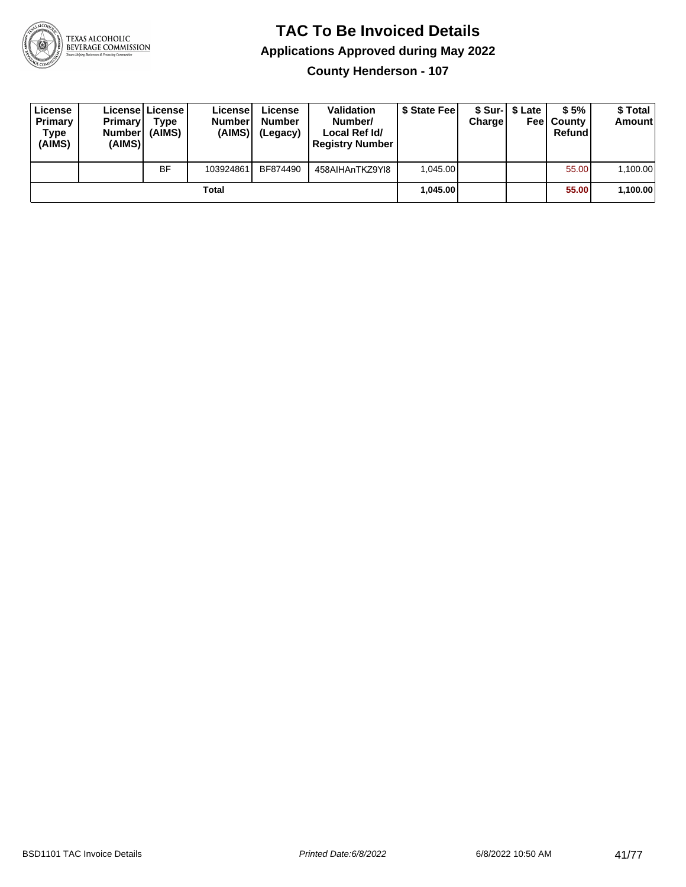

**County Henderson - 107**

| License<br>Primary<br>Type<br>(AIMS) | <b>Primary</b><br><b>Number</b><br>(AIMS) | License License<br>Type<br>(AIMS) | License<br><b>Number</b><br>(AIMS) | License<br><b>Number</b><br>(Legacy) | <b>Validation</b><br>Number/<br>Local Ref Id/<br><b>Registry Number</b> | \$ State Feel | Charge | \$ Sur-1 \$ Late | \$5%<br><b>Feel County</b><br>Refund | \$ Total<br><b>Amount</b> |
|--------------------------------------|-------------------------------------------|-----------------------------------|------------------------------------|--------------------------------------|-------------------------------------------------------------------------|---------------|--------|------------------|--------------------------------------|---------------------------|
|                                      |                                           | <b>BF</b>                         | 103924861                          | BF874490                             | 458AIHAnTKZ9YI8                                                         | 1.045.00      |        |                  | 55.00                                | 1,100.00                  |
|                                      |                                           |                                   | Total                              |                                      |                                                                         | 1.045.00      |        |                  | 55.00                                | 1,100.00                  |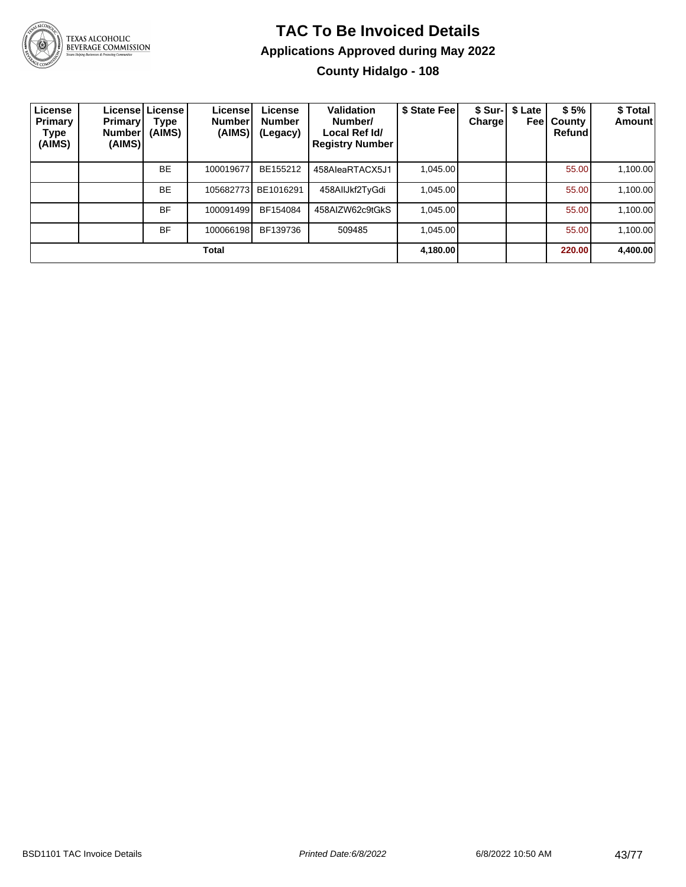

TEXAS ALCOHOLIC<br>BEVERAGE COMMISSION

#### **TAC To Be Invoiced Details Applications Approved during May 2022 County Hidalgo - 108**

| License<br>Primary<br>Type<br>(AIMS) | <b>Primary</b><br>Number<br>(AIMS) | Licensel License I<br>Type<br>(AIMS) | License'<br><b>Number</b><br>(AIMS) | License<br><b>Number</b><br>(Legacy) | Validation<br>Number/<br>Local Ref Id/<br><b>Registry Number</b> | \$ State Fee | \$ Sur-I<br><b>Charge</b> | \$ Late<br>Feel | \$5%<br>County<br>Refund | \$ Total<br>Amount |
|--------------------------------------|------------------------------------|--------------------------------------|-------------------------------------|--------------------------------------|------------------------------------------------------------------|--------------|---------------------------|-----------------|--------------------------|--------------------|
|                                      |                                    | <b>BE</b>                            | 100019677                           | BE155212                             | 458AleaRTACX5J1                                                  | 1.045.00     |                           |                 | 55.00                    | 1,100.00           |
|                                      |                                    | <b>BE</b>                            | 105682773                           | BE1016291                            | 458AIIJkf2TyGdi                                                  | 1.045.00     |                           |                 | 55.00                    | 1,100.00           |
|                                      |                                    | <b>BF</b>                            | 100091499                           | BF154084                             | 458AIZW62c9tGkS                                                  | 1.045.00     |                           |                 | 55.00                    | 1,100.00           |
|                                      |                                    | <b>BF</b>                            | 100066198                           | BF139736                             | 509485                                                           | 1.045.00     |                           |                 | 55.00                    | 1,100.00           |
|                                      |                                    |                                      | <b>Total</b>                        |                                      |                                                                  | 4,180.00     |                           |                 | 220.00                   | 4,400.00           |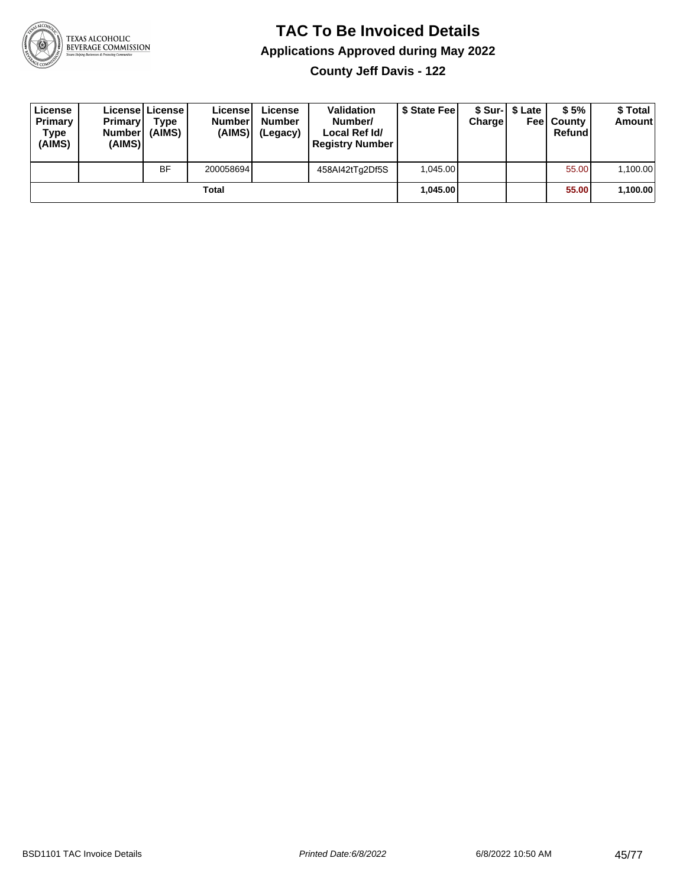

**County Jeff Davis - 122**

| License<br>Primary<br>Type<br>(AIMS) | <b>Primary</b><br><b>Number</b><br>(AIMS)I | <b>License   License</b><br>Type<br>(AIMS) | License<br><b>Number</b><br>(AIMS) | License<br><b>Number</b><br>(Legacy) | <b>Validation</b><br>Number/<br>Local Ref Id/<br><b>Registry Number</b> | \$ State Feel | Charge | \$ Sur-1 \$ Late | \$5%<br><b>Feel County</b><br>Refund | \$ Total<br><b>Amount</b> |
|--------------------------------------|--------------------------------------------|--------------------------------------------|------------------------------------|--------------------------------------|-------------------------------------------------------------------------|---------------|--------|------------------|--------------------------------------|---------------------------|
|                                      |                                            | <b>BF</b>                                  | 200058694                          |                                      | 458AI42tTg2Df5S                                                         | 1.045.00      |        |                  | 55.00                                | 1,100.00                  |
|                                      |                                            |                                            | Total                              |                                      |                                                                         | 1.045.00      |        |                  | 55.00                                | 1,100.00                  |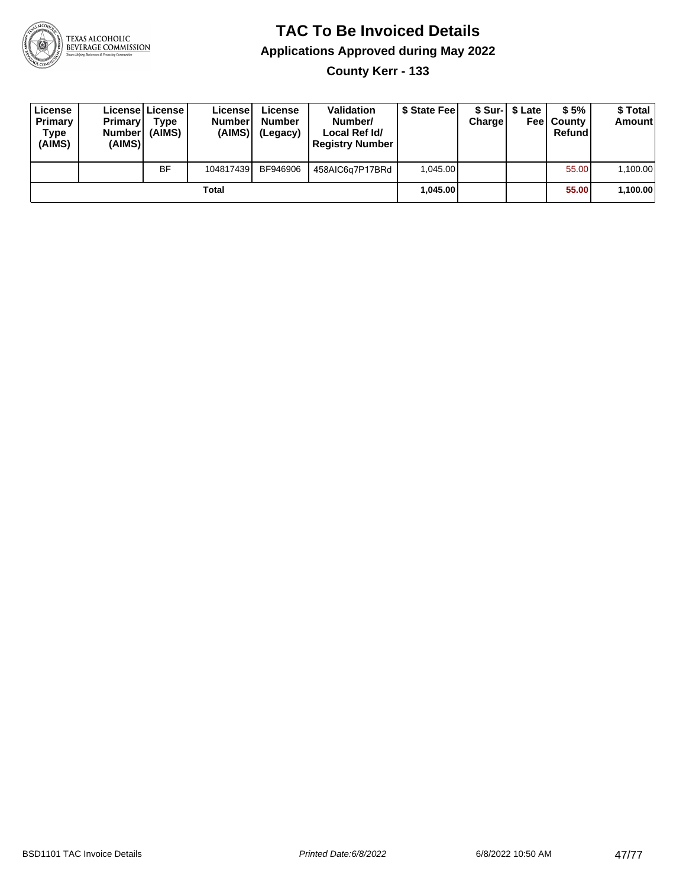

**County Kerr - 133**

| License<br>Primary<br>Type<br>(AIMS) | <b>Primary</b><br>Number<br>(AIMS) | License   License  <br>Type<br>(AIMS) | License<br><b>Number</b><br>(AIMS) | License<br><b>Number</b><br>(Legacy) | <b>Validation</b><br>Number/<br>Local Ref Id/<br><b>Registry Number</b> | \$ State Feel | Charge | \$ Sur-1 \$ Late | \$5%<br><b>Feel County</b><br>Refund | \$ Total<br><b>Amount</b> |
|--------------------------------------|------------------------------------|---------------------------------------|------------------------------------|--------------------------------------|-------------------------------------------------------------------------|---------------|--------|------------------|--------------------------------------|---------------------------|
|                                      |                                    | <b>BF</b>                             | 104817439                          | BF946906                             | 458AIC6g7P17BRd                                                         | 1.045.00      |        |                  | 55.00                                | 1,100.00                  |
|                                      |                                    |                                       | Total                              |                                      |                                                                         | 1.045.00      |        |                  | 55.00                                | 1,100.00                  |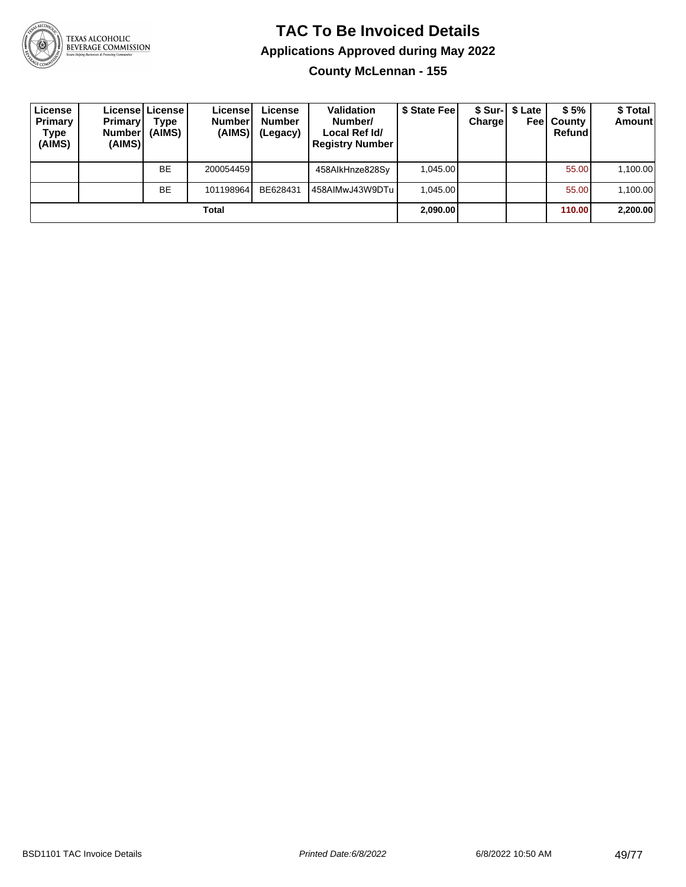

**County McLennan - 155**

| License<br>Primary<br>Type<br>(AIMS) | <b>Primary</b><br><b>Number</b><br>(AIMS) | Licensel License I<br>Type<br>(AIMS) | License<br><b>Number</b><br>(AIMS) | License<br><b>Number</b><br>(Legacy) | <b>Validation</b><br>Number/<br>Local Ref Id/<br><b>Registry Number</b> | \$ State Fee | Charge | \$ Sur-1 \$ Late<br>Feel | \$5%<br>County<br>Refund | \$ Total<br><b>Amount</b> |
|--------------------------------------|-------------------------------------------|--------------------------------------|------------------------------------|--------------------------------------|-------------------------------------------------------------------------|--------------|--------|--------------------------|--------------------------|---------------------------|
|                                      |                                           | <b>BE</b>                            | 200054459                          |                                      | 458AlkHnze828Sy                                                         | 1,045.00     |        |                          | 55.00                    | 1,100.00                  |
|                                      |                                           | <b>BE</b>                            | 101198964                          | BE628431                             | 458AIMwJ43W9DTu                                                         | 1.045.00     |        |                          | 55.00                    | 1,100.00                  |
|                                      |                                           |                                      | Total                              |                                      |                                                                         | 2,090.00     |        |                          | 110.00                   | 2,200.00                  |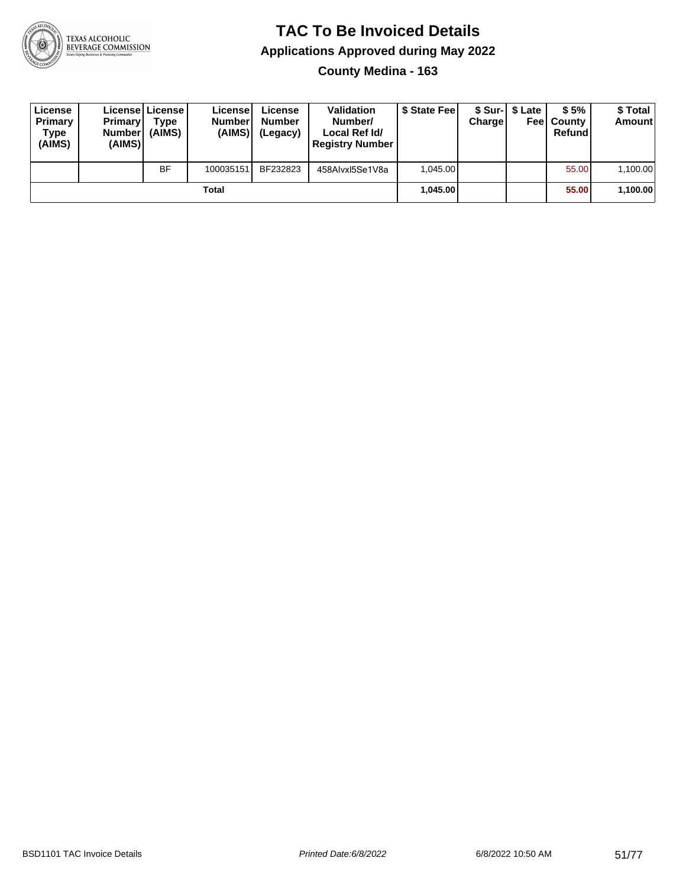

#### **TAC To Be Invoiced Details Applications Approved during May 2022 County Medina - 163**

| License<br>Primary<br>Type<br>(AIMS) | <b>Primary</b><br><b>Number</b><br>(AIMS) | Licensel License I<br>Tvpe<br>(AIMS) | Licensel<br><b>Number</b><br>(AIMS) | License<br><b>Number</b><br>(Legacy) | <b>Validation</b><br>Number/<br>Local Ref Id/<br><b>Registry Number</b> | \$ State Fee | Charge | \$ Sur-I \$ Late | \$5%<br><b>Feel County</b><br>Refund | \$ Total<br><b>Amount</b> |
|--------------------------------------|-------------------------------------------|--------------------------------------|-------------------------------------|--------------------------------------|-------------------------------------------------------------------------|--------------|--------|------------------|--------------------------------------|---------------------------|
|                                      |                                           | <b>BF</b>                            | 100035151                           | BF232823                             | 458Alvxl5Se1V8a                                                         | 1.045.00     |        |                  | 55.00                                | 1.100.00                  |
|                                      |                                           |                                      | Total                               |                                      |                                                                         | 1,045.00     |        |                  | 55.00                                | 1,100.00                  |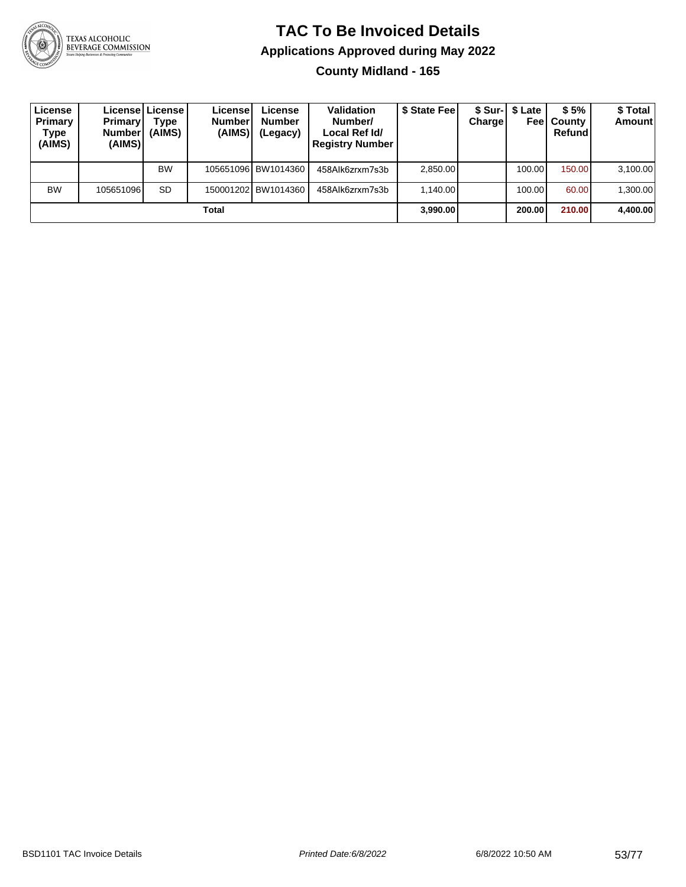

#### **TAC To Be Invoiced Details Applications Approved during May 2022 County Midland - 165**

| License<br>Primary<br>Type<br>(AIMS) | <b>Primary</b><br><b>Number</b><br>(AIMS) | License License<br>Type<br>(AIMS) | Licensel<br><b>Number</b><br>(AIMS) | License<br>Number<br>(Legacy) | <b>Validation</b><br>Number/<br>Local Ref Id/<br><b>Registry Number</b> | \$ State Feel | Charge | \$ Sur-1 \$ Late | \$5%<br><b>Feel County</b><br>Refund | \$ Total<br><b>Amount</b> |
|--------------------------------------|-------------------------------------------|-----------------------------------|-------------------------------------|-------------------------------|-------------------------------------------------------------------------|---------------|--------|------------------|--------------------------------------|---------------------------|
|                                      |                                           | <b>BW</b>                         |                                     | 105651096 BW1014360           | 458Alk6zrxm7s3b                                                         | 2,850.00      |        | 100.00           | 150.00                               | 3,100.00                  |
| <b>BW</b>                            | 105651096                                 | <b>SD</b>                         |                                     | 150001202 BW1014360           | 458Alk6zrxm7s3b                                                         | 1.140.00      |        | 100.00           | 60.00                                | 1,300.00                  |
|                                      |                                           |                                   | Total                               |                               |                                                                         | 3.990.00      |        | 200.00           | 210.00                               | 4,400.00                  |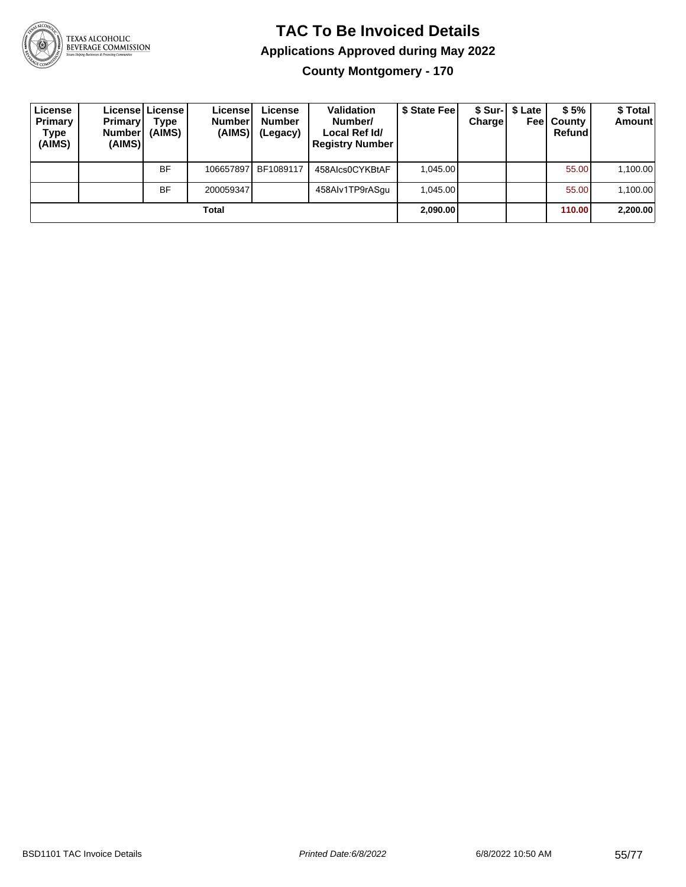

**County Montgomery - 170**

| License<br>Primary<br>Type<br>(AIMS) | <b>Primary</b><br>Number <br>(AIMS) | License   License  <br>Type<br>(AIMS) | License<br><b>Number</b><br>(AIMS) | License<br><b>Number</b><br>(Legacy) | <b>Validation</b><br>Number/<br>Local Ref Id/<br><b>Registry Number</b> | \$ State Fee | Charge | \$ Sur-1 \$ Late<br>Feel | \$5%<br>County<br>Refund | \$Total<br><b>Amount</b> |
|--------------------------------------|-------------------------------------|---------------------------------------|------------------------------------|--------------------------------------|-------------------------------------------------------------------------|--------------|--------|--------------------------|--------------------------|--------------------------|
|                                      |                                     | <b>BF</b>                             | 106657897                          | BF1089117                            | 458Alcs0CYKBtAF                                                         | 1.045.00     |        |                          | 55.00                    | 1,100.00                 |
|                                      |                                     | <b>BF</b>                             | 200059347                          |                                      | 458Alv1TP9rASqu                                                         | 1.045.00     |        |                          | 55.00                    | 1,100.00                 |
|                                      |                                     |                                       | Total                              |                                      |                                                                         | 2,090.00     |        |                          | 110.00                   | 2,200.00                 |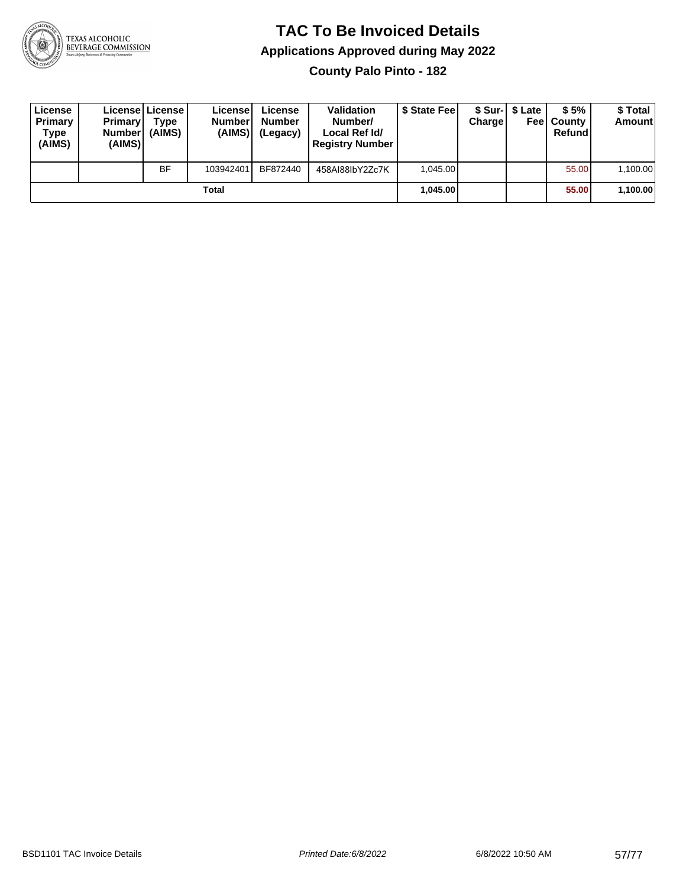

**County Palo Pinto - 182**

| License<br>Primary<br>Type<br>(AIMS) | <b>Primary</b><br><b>Number</b><br>(AIMS) | <b>License   License</b><br>Type<br>(AIMS) | License<br><b>Number</b><br>(AIMS) | License<br><b>Number</b><br>(Legacy) | <b>Validation</b><br>Number/<br>Local Ref Id/<br><b>Registry Number</b> | \$ State Feel | Charge | \$ Sur-1 \$ Late | \$5%<br><b>Feel County</b><br>Refund | \$ Total<br><b>Amount</b> |
|--------------------------------------|-------------------------------------------|--------------------------------------------|------------------------------------|--------------------------------------|-------------------------------------------------------------------------|---------------|--------|------------------|--------------------------------------|---------------------------|
|                                      |                                           | <b>BF</b>                                  | 103942401                          | BF872440                             | 458AI88IbY2Zc7K                                                         | 1.045.00      |        |                  | 55.00                                | 1,100.00                  |
|                                      |                                           |                                            | <b>Total</b>                       |                                      |                                                                         | 1.045.00      |        |                  | 55.00                                | 1,100.00                  |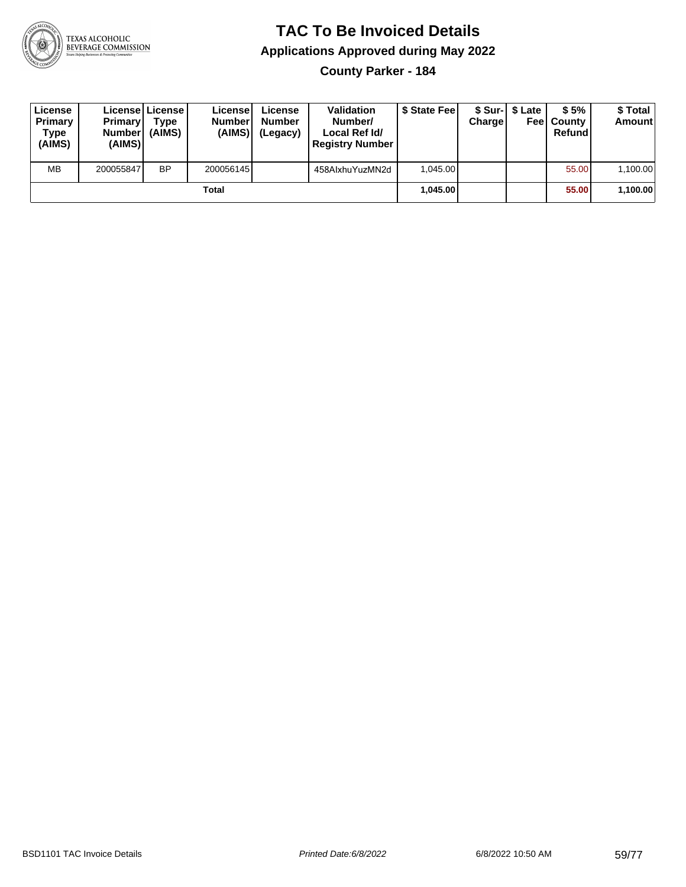

**County Parker - 184**

| License<br><b>Primary</b><br>Type<br>(AIMS) | <b>Primary</b><br><b>Number</b><br>(AIMS) | License License<br>Type<br>(AIMS) | Licensel<br><b>Number</b><br>(AIMS) | License<br><b>Number</b><br>(Legacy) | <b>Validation</b><br>Number/<br>Local Ref Id/<br><b>Registry Number</b> | \$ State Feel | Charge | \$ Sur-1 \$ Late<br>Feel | \$5%<br>County<br>Refund | \$ Total<br><b>Amount</b> |
|---------------------------------------------|-------------------------------------------|-----------------------------------|-------------------------------------|--------------------------------------|-------------------------------------------------------------------------|---------------|--------|--------------------------|--------------------------|---------------------------|
| <b>MB</b>                                   | 200055847                                 | <b>BP</b>                         | 200056145                           |                                      | 458AlxhuYuzMN2d                                                         | 1.045.00      |        |                          | 55.00                    | 1,100.00                  |
|                                             |                                           |                                   | Total                               |                                      |                                                                         | 1.045.00      |        |                          | 55.00                    | 1,100.00                  |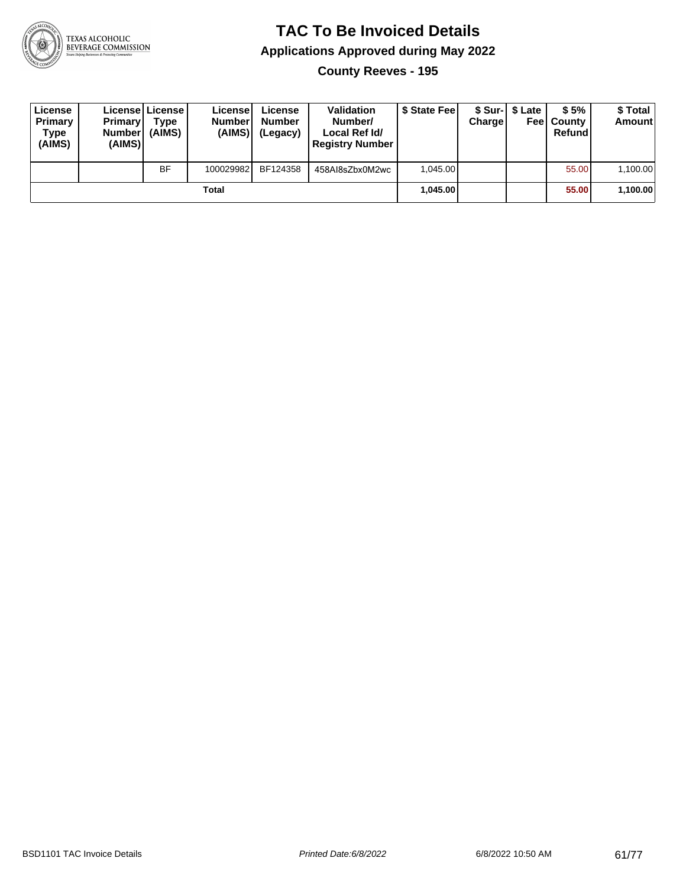

**County Reeves - 195**

| License<br>Primary<br>Type<br>(AIMS) | <b>Primary</b><br><b>Number</b><br>(AIMS) | License   License  <br>Type<br>(AIMS) | License<br><b>Number</b><br>(AIMS) | License<br><b>Number</b><br>(Legacy) | <b>Validation</b><br>Number/<br>Local Ref Id/<br><b>Registry Number</b> | \$ State Feel | Charge | \$ Sur-1 \$ Late | \$5%<br><b>Feel County</b><br>Refund | \$ Total<br><b>Amount</b> |
|--------------------------------------|-------------------------------------------|---------------------------------------|------------------------------------|--------------------------------------|-------------------------------------------------------------------------|---------------|--------|------------------|--------------------------------------|---------------------------|
|                                      |                                           | <b>BF</b>                             | 100029982                          | BF124358                             | 458Al8sZbx0M2wc                                                         | 1.045.00      |        |                  | 55.00                                | 1,100.00                  |
|                                      |                                           |                                       | Total                              |                                      |                                                                         | 1.045.00      |        |                  | 55.00                                | 1,100.00                  |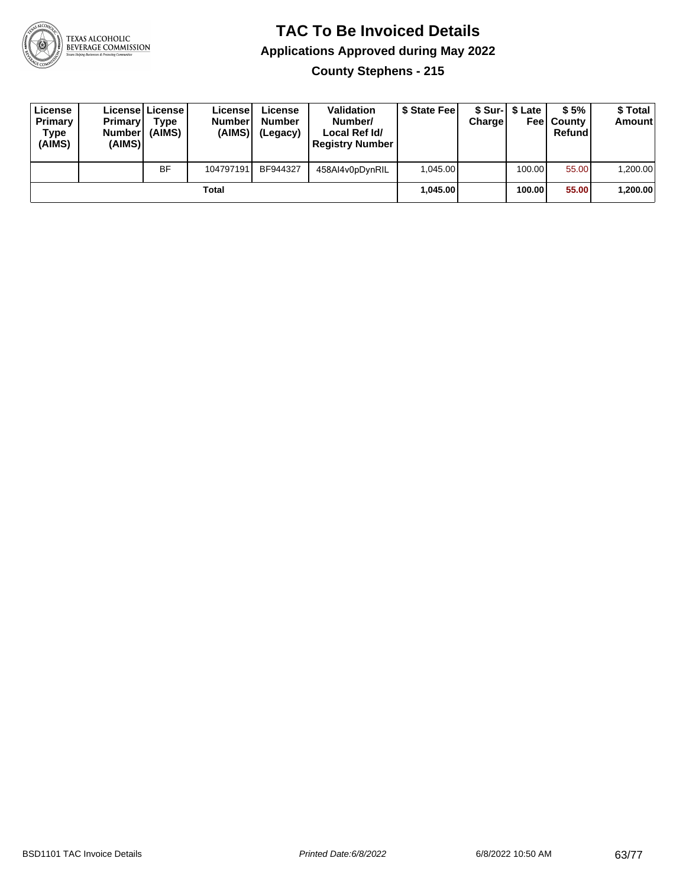

**County Stephens - 215**

| License<br>Primary<br>Type<br>(AIMS) | <b>Primary</b><br><b>Number</b><br>(AIMS)I | <b>License   License</b><br>Type<br>(AIMS) | License<br><b>Numberl</b><br>(AIMS) | License<br><b>Number</b><br>(Legacy) | Validation<br>Number/<br>Local Ref Id/<br><b>Registry Number</b> | \$ State Feel | Charge | \$ Sur-1 \$ Late | \$5%<br><b>Feel County</b><br>Refund | \$ Total<br><b>Amount</b> |
|--------------------------------------|--------------------------------------------|--------------------------------------------|-------------------------------------|--------------------------------------|------------------------------------------------------------------|---------------|--------|------------------|--------------------------------------|---------------------------|
|                                      |                                            | <b>BF</b>                                  | 104797191                           | BF944327                             | 458AI4v0pDynRIL                                                  | 1.045.00      |        | 100.00           | 55.00                                | ا 200.00.                 |
| Total                                |                                            |                                            |                                     |                                      |                                                                  | 1.045.00      |        | 100.00           | 55.00                                | ∣200.00.00                |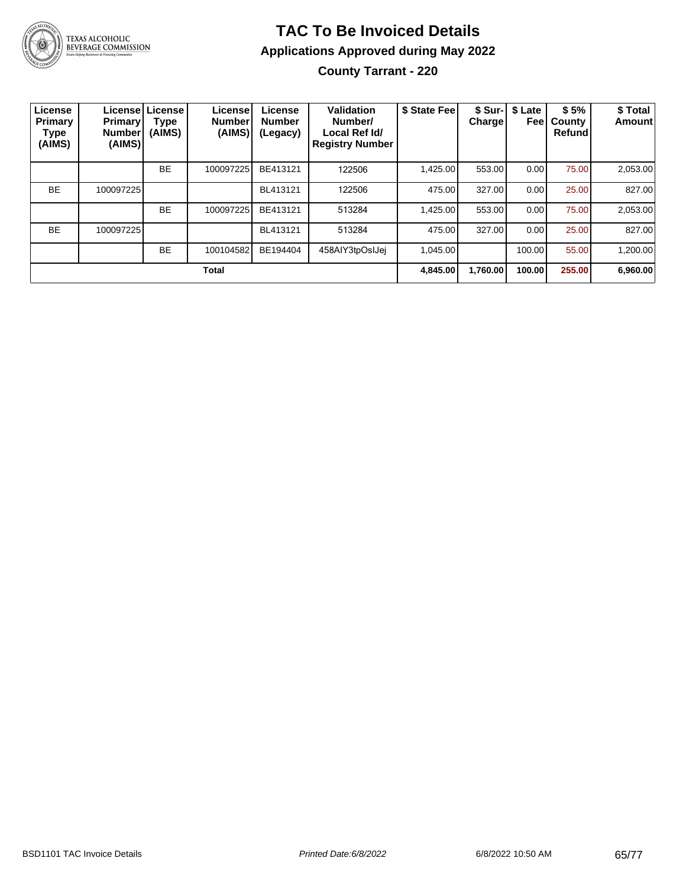

# TEXAS ALCOHOLIC<br>BEVERAGE COMMISSION

#### **TAC To Be Invoiced Details Applications Approved during May 2022 County Tarrant - 220**

| License<br>Primary<br>Type<br>(AIMS) | <b>Primary</b><br><b>Number</b><br>(AIMS) | License License<br>Type<br>(AIMS) | License!<br><b>Number</b><br>(AIMS) | License<br><b>Number</b><br>(Legacy) | Validation<br>Number/<br>Local Ref Id/<br><b>Registry Number</b> | \$ State Fee | <b>Charge</b> | \$ Sur-1 \$ Late<br>Feel | \$5%<br>County<br><b>Refund</b> | \$ Total<br>Amount |
|--------------------------------------|-------------------------------------------|-----------------------------------|-------------------------------------|--------------------------------------|------------------------------------------------------------------|--------------|---------------|--------------------------|---------------------------------|--------------------|
|                                      |                                           | <b>BE</b>                         | 100097225                           | BE413121                             | 122506                                                           | 1.425.00     | 553.00        | 0.00                     | 75.00                           | 2,053.00           |
| <b>BE</b>                            | 100097225                                 |                                   |                                     | BL413121                             | 122506                                                           | 475.00       | 327.00        | 0.00                     | 25.00                           | 827.00             |
|                                      |                                           | <b>BE</b>                         | 100097225                           | BE413121                             | 513284                                                           | 1.425.00     | 553.00        | 0.00                     | 75.00                           | 2,053.00           |
| <b>BE</b>                            | 100097225                                 |                                   |                                     | BL413121                             | 513284                                                           | 475.00       | 327.00        | 0.00                     | 25.00                           | 827.00             |
|                                      |                                           | <b>BE</b>                         | 100104582                           | BE194404                             | 458AIY3tpOsIJei                                                  | 1.045.00     |               | 100.00                   | 55.00                           | 1,200.00           |
|                                      |                                           |                                   | <b>Total</b>                        |                                      |                                                                  | 4,845.00     | 1,760.00      | 100.00                   | 255.00                          | 6,960.00           |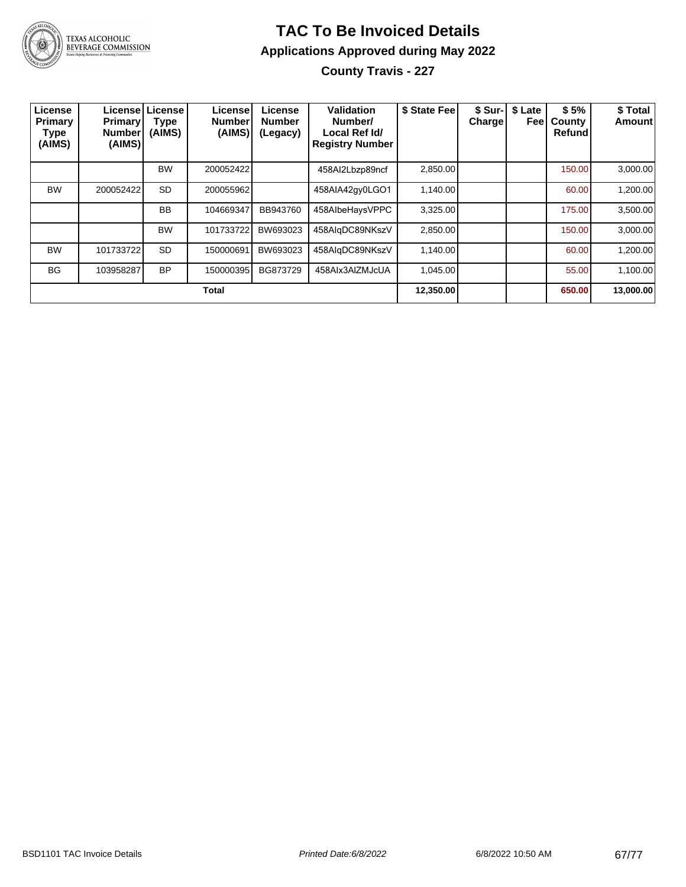

**County Travis - 227**

| License<br>Primary<br>Type<br>(AIMS) | <b>Primary</b><br><b>Number</b><br>(AIMS) | Licensel License<br><b>Type</b><br>(AIMS) | License<br><b>Number</b><br>(AIMS) | License<br><b>Number</b><br>(Legacy) | <b>Validation</b><br>Number/<br>Local Ref Id/<br><b>Registry Number</b> | \$ State Feel | Charge    | \$ Sur-   \$ Late<br>Feel | \$5%<br>County<br><b>Refund</b> | \$ Total<br><b>Amount</b> |
|--------------------------------------|-------------------------------------------|-------------------------------------------|------------------------------------|--------------------------------------|-------------------------------------------------------------------------|---------------|-----------|---------------------------|---------------------------------|---------------------------|
|                                      |                                           | <b>BW</b>                                 | 200052422                          |                                      | 458Al2Lbzp89ncf                                                         | 2,850.00      |           |                           | 150.00                          | 3,000.00                  |
| <b>BW</b>                            | 200052422                                 | <b>SD</b>                                 | 200055962                          |                                      | 458AIA42gy0LGO1                                                         | 1,140.00      |           |                           | 60.00                           | 1,200.00                  |
|                                      |                                           | <b>BB</b>                                 | 104669347                          | BB943760                             | 458AlbeHaysVPPC                                                         | 3,325.00      |           |                           | 175.00                          | 3,500.00                  |
|                                      |                                           | <b>BW</b>                                 | 101733722                          | BW693023                             | 458AlgDC89NKszV                                                         | 2,850.00      |           |                           | 150.00                          | 3,000.00                  |
| <b>BW</b>                            | 101733722                                 | <b>SD</b>                                 | 150000691                          | BW693023                             | 458AlgDC89NKszV                                                         | 1,140.00      |           |                           | 60.00                           | 1,200.00                  |
| <b>BG</b>                            | 103958287                                 | <b>BP</b>                                 | 150000395                          | BG873729                             | 458AIx3AIZMJcUA                                                         | 1.045.00      |           |                           | 55.00                           | 1,100.00                  |
| <b>Total</b>                         |                                           |                                           |                                    |                                      |                                                                         |               | 12,350.00 |                           | 650.00                          | 13,000.00                 |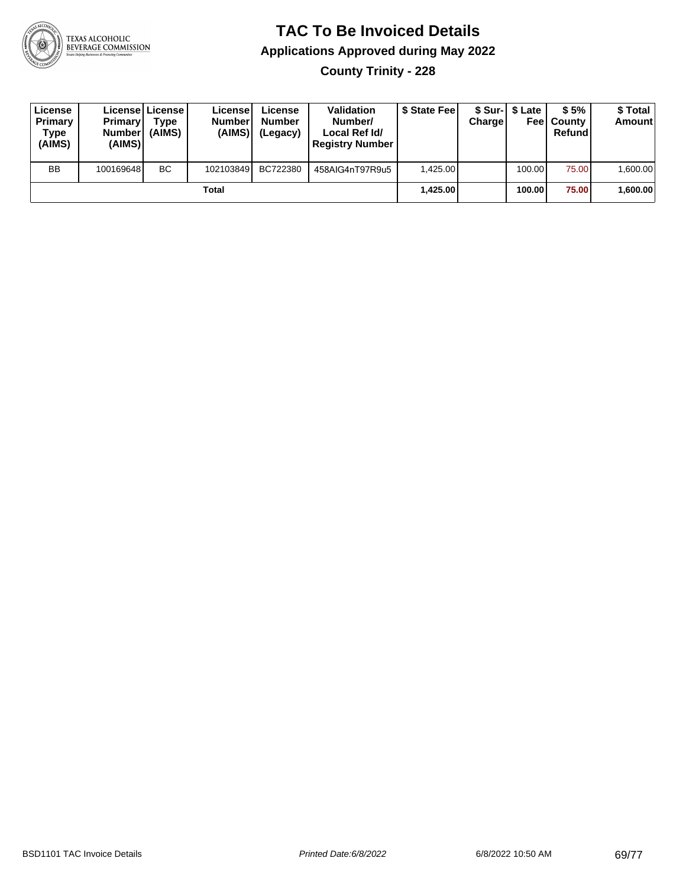

**County Trinity - 228**

| License<br><b>Primary</b><br>Type<br>(AIMS) | <b>Primary</b><br><b>Number</b><br>(AIMS) | Licensel License I<br>Type<br>(AIMS) | Licensel<br><b>Number</b><br>(AIMS) | License<br><b>Number</b><br>(Legacy) | <b>Validation</b><br>Number/<br>Local Ref Id/<br><b>Registry Number</b> | \$ State Feel | Charge | \$ Sur-1 \$ Late | \$5%<br><b>Feel County</b><br>Refund | \$ Total<br><b>Amount</b> |
|---------------------------------------------|-------------------------------------------|--------------------------------------|-------------------------------------|--------------------------------------|-------------------------------------------------------------------------|---------------|--------|------------------|--------------------------------------|---------------------------|
| <b>BB</b>                                   | 100169648                                 | <b>BC</b>                            | 102103849                           | BC722380                             | 458AIG4nT97R9u5                                                         | 1.425.00      |        | 100.00           | 75.00                                | 1,600.00                  |
| Total                                       |                                           |                                      |                                     |                                      |                                                                         | 1.425.00      |        | 100.00           | 75.00                                | 600.00, ا                 |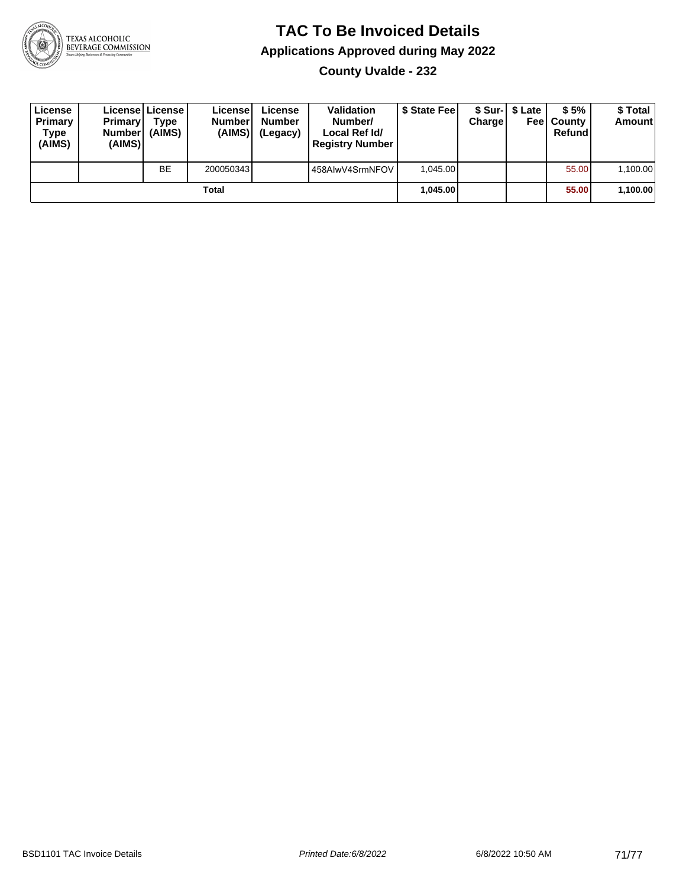

**County Uvalde - 232**

| License<br>Primary<br>Type<br>(AIMS) | <b>Primary</b><br><b>Number</b><br>(AIMS) | License   License  <br>Type<br>(AIMS) | License<br><b>Number</b><br>(AIMS) | License<br><b>Number</b><br>(Legacy) | <b>Validation</b><br>Number/<br>Local Ref Id/<br><b>Registry Number</b> | \$ State Feel | Charge | \$ Sur-1 \$ Late | \$5%<br><b>Feel County</b><br>Refund | \$ Total<br><b>Amount</b> |
|--------------------------------------|-------------------------------------------|---------------------------------------|------------------------------------|--------------------------------------|-------------------------------------------------------------------------|---------------|--------|------------------|--------------------------------------|---------------------------|
|                                      |                                           | BE                                    | 200050343                          |                                      | 458AlwV4SrmNFOV                                                         | 1.045.00      |        |                  | 55.00                                | 1,100.00                  |
| Total                                |                                           |                                       |                                    |                                      |                                                                         | 1.045.00      |        |                  | 55.00                                | 1,100.00                  |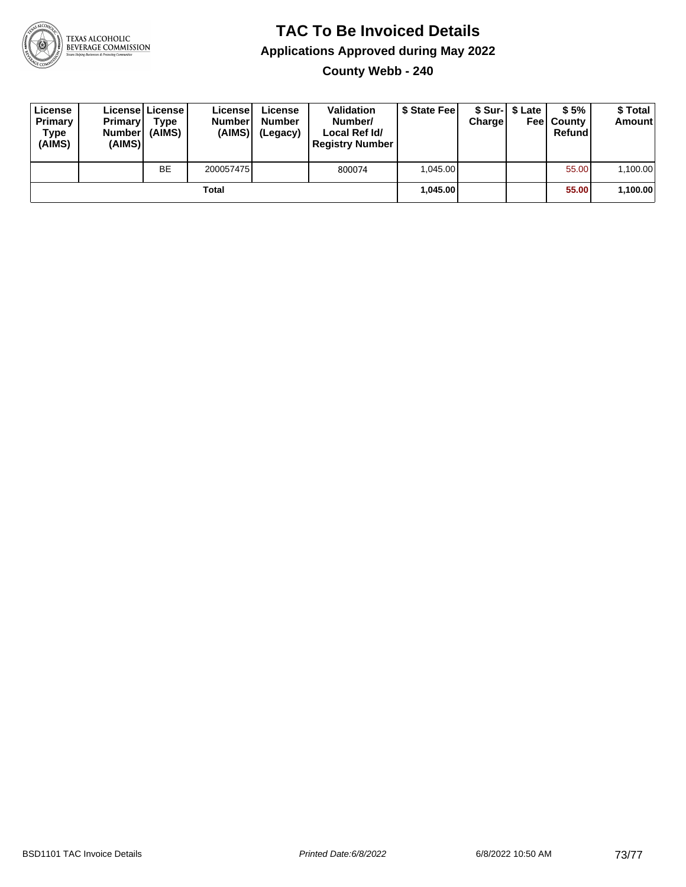

## **TAC To Be Invoiced Details Applications Approved during May 2022**

**County Webb - 240**

| License<br>Primary<br>Type<br>(AIMS) | <b>Primary</b><br><b>Number</b><br>(AIMS) | License   License<br>Type<br>(AIMS) | License<br><b>Numberl</b><br>(AIMS) | License<br><b>Number</b><br>(Legacy) | Validation<br>Number/<br>Local Ref Id/<br><b>Registry Number</b> | \$ State Feel | Charge | \$ Sur-1 \$ Late | \$5%<br><b>Feel County</b><br>Refund | \$ Total<br><b>Amount</b> |
|--------------------------------------|-------------------------------------------|-------------------------------------|-------------------------------------|--------------------------------------|------------------------------------------------------------------|---------------|--------|------------------|--------------------------------------|---------------------------|
|                                      |                                           | <b>BE</b>                           | 200057475                           |                                      | 800074                                                           | 1.045.00      |        |                  | 55.00                                | 1,100.00                  |
| Total                                |                                           |                                     |                                     |                                      |                                                                  | 1.045.00      |        |                  | 55.00                                | 1,100.00                  |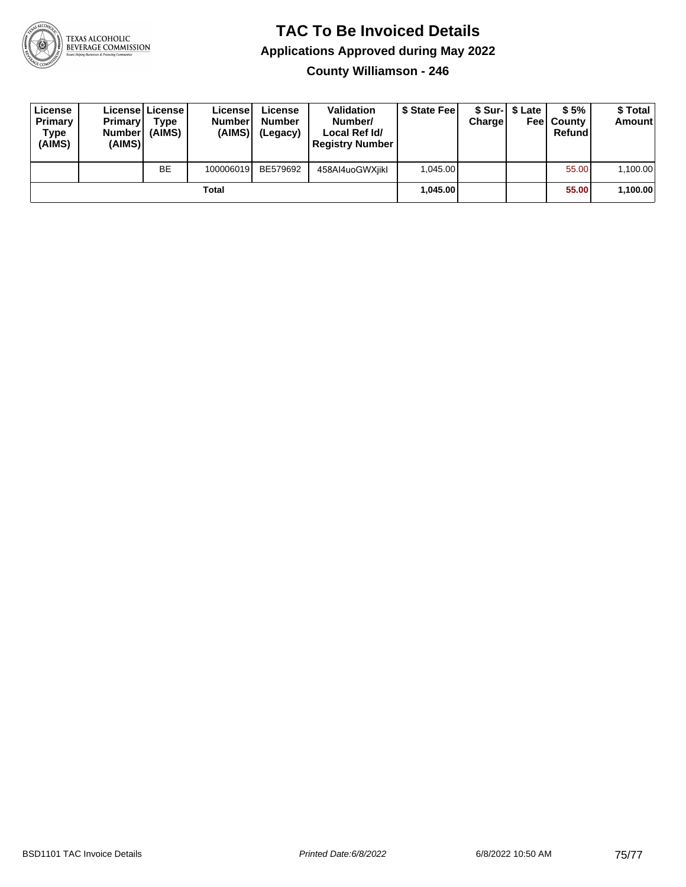

## **TAC To Be Invoiced Details Applications Approved during May 2022**

**County Williamson - 246**

| License<br>Primary<br>Type<br>(AIMS) | <b>Primary</b><br><b>Number</b><br>(AIMS) | License License<br>Type<br>(AIMS) | License<br><b>Number</b><br>(AIMS) | License<br><b>Number</b><br>(Legacy) | <b>Validation</b><br>Number/<br>Local Ref Id/<br><b>Registry Number</b> | \$ State Feel | Charge | \$ Sur-1 \$ Late | \$5%<br><b>Feel County</b><br>Refund | \$ Total<br><b>Amount</b> |
|--------------------------------------|-------------------------------------------|-----------------------------------|------------------------------------|--------------------------------------|-------------------------------------------------------------------------|---------------|--------|------------------|--------------------------------------|---------------------------|
|                                      |                                           | <b>BE</b>                         | 100006019                          | BE579692                             | 458AI4uoGWXiikl                                                         | 1.045.00      |        |                  | 55.00                                | 1,100.00                  |
| Total                                |                                           |                                   |                                    |                                      |                                                                         | 1.045.00      |        |                  | 55.00                                | 1,100.00                  |